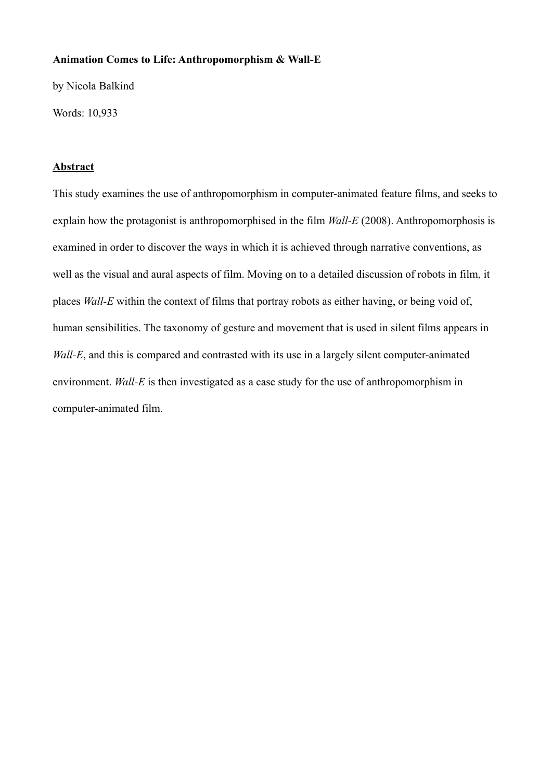#### **Animation Comes to Life: Anthropomorphism & Wall-E**

by Nicola Balkind

Words: 10,933

#### **Abstract**

This study examines the use of anthropomorphism in computer-animated feature films, and seeks to explain how the protagonist is anthropomorphised in the film *Wall-E* (2008). Anthropomorphosis is examined in order to discover the ways in which it is achieved through narrative conventions, as well as the visual and aural aspects of film. Moving on to a detailed discussion of robots in film, it places *Wall-E* within the context of films that portray robots as either having, or being void of, human sensibilities. The taxonomy of gesture and movement that is used in silent films appears in *Wall-E*, and this is compared and contrasted with its use in a largely silent computer-animated environment. *Wall-E* is then investigated as a case study for the use of anthropomorphism in computer-animated film.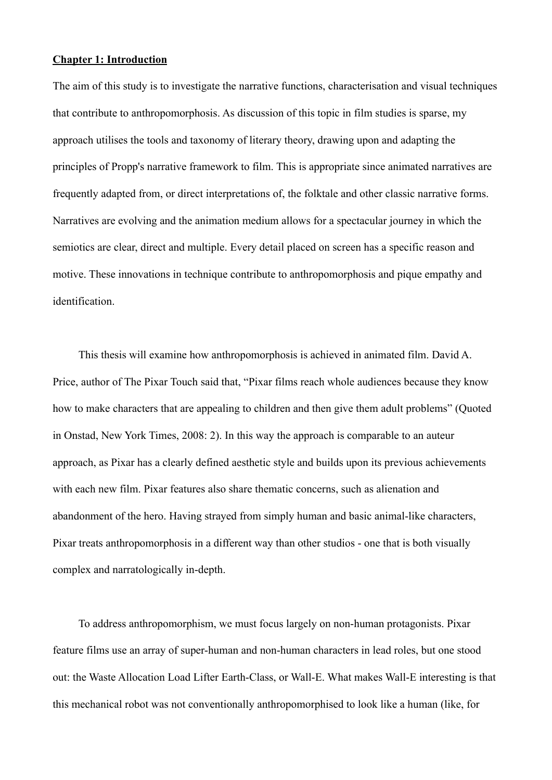## **Chapter 1: Introduction**

The aim of this study is to investigate the narrative functions, characterisation and visual techniques that contribute to anthropomorphosis. As discussion of this topic in film studies is sparse, my approach utilises the tools and taxonomy of literary theory, drawing upon and adapting the principles of Propp's narrative framework to film. This is appropriate since animated narratives are frequently adapted from, or direct interpretations of, the folktale and other classic narrative forms. Narratives are evolving and the animation medium allows for a spectacular journey in which the semiotics are clear, direct and multiple. Every detail placed on screen has a specific reason and motive. These innovations in technique contribute to anthropomorphosis and pique empathy and identification.

 This thesis will examine how anthropomorphosis is achieved in animated film. David A. Price, author of The Pixar Touch said that, "Pixar films reach whole audiences because they know how to make characters that are appealing to children and then give them adult problems" (Quoted in Onstad, New York Times, 2008: 2). In this way the approach is comparable to an auteur approach, as Pixar has a clearly defined aesthetic style and builds upon its previous achievements with each new film. Pixar features also share thematic concerns, such as alienation and abandonment of the hero. Having strayed from simply human and basic animal-like characters, Pixar treats anthropomorphosis in a different way than other studios - one that is both visually complex and narratologically in-depth.

 To address anthropomorphism, we must focus largely on non-human protagonists. Pixar feature films use an array of super-human and non-human characters in lead roles, but one stood out: the Waste Allocation Load Lifter Earth-Class, or Wall-E. What makes Wall-E interesting is that this mechanical robot was not conventionally anthropomorphised to look like a human (like, for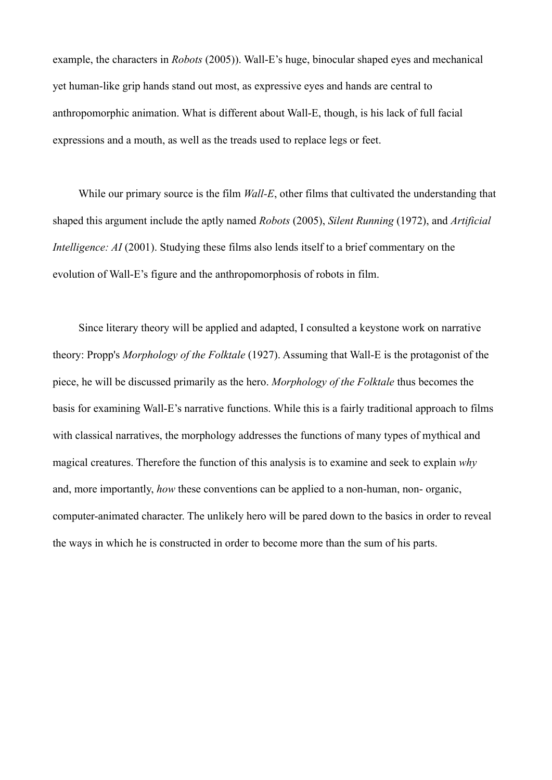example, the characters in *Robots* (2005)). Wall-E's huge, binocular shaped eyes and mechanical yet human-like grip hands stand out most, as expressive eyes and hands are central to anthropomorphic animation. What is different about Wall-E, though, is his lack of full facial expressions and a mouth, as well as the treads used to replace legs or feet.

 While our primary source is the film *Wall-E*, other films that cultivated the understanding that shaped this argument include the aptly named *Robots* (2005), *Silent Running* (1972), and *Artificial Intelligence: AI* (2001). Studying these films also lends itself to a brief commentary on the evolution of Wall-E's figure and the anthropomorphosis of robots in film.

 Since literary theory will be applied and adapted, I consulted a keystone work on narrative theory: Propp's *Morphology of the Folktale* (1927). Assuming that Wall-E is the protagonist of the piece, he will be discussed primarily as the hero. *Morphology of the Folktale* thus becomes the basis for examining Wall-E's narrative functions. While this is a fairly traditional approach to films with classical narratives, the morphology addresses the functions of many types of mythical and magical creatures. Therefore the function of this analysis is to examine and seek to explain *why*  and, more importantly, *how* these conventions can be applied to a non-human, non- organic, computer-animated character. The unlikely hero will be pared down to the basics in order to reveal the ways in which he is constructed in order to become more than the sum of his parts.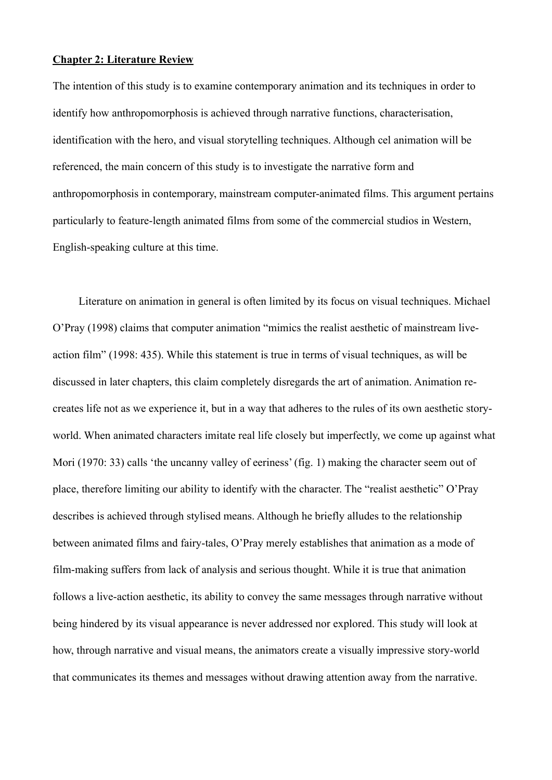## **Chapter 2: Literature Review**

The intention of this study is to examine contemporary animation and its techniques in order to identify how anthropomorphosis is achieved through narrative functions, characterisation, identification with the hero, and visual storytelling techniques. Although cel animation will be referenced, the main concern of this study is to investigate the narrative form and anthropomorphosis in contemporary, mainstream computer-animated films. This argument pertains particularly to feature-length animated films from some of the commercial studios in Western, English-speaking culture at this time.

 Literature on animation in general is often limited by its focus on visual techniques. Michael O'Pray (1998) claims that computer animation "mimics the realist aesthetic of mainstream liveaction film" (1998: 435). While this statement is true in terms of visual techniques, as will be discussed in later chapters, this claim completely disregards the art of animation. Animation recreates life not as we experience it, but in a way that adheres to the rules of its own aesthetic storyworld. When animated characters imitate real life closely but imperfectly, we come up against what Mori (1970: 33) calls 'the uncanny valley of eeriness' (fig. 1) making the character seem out of place, therefore limiting our ability to identify with the character. The "realist aesthetic" O'Pray describes is achieved through stylised means. Although he briefly alludes to the relationship between animated films and fairy-tales, O'Pray merely establishes that animation as a mode of film-making suffers from lack of analysis and serious thought. While it is true that animation follows a live-action aesthetic, its ability to convey the same messages through narrative without being hindered by its visual appearance is never addressed nor explored. This study will look at how, through narrative and visual means, the animators create a visually impressive story-world that communicates its themes and messages without drawing attention away from the narrative.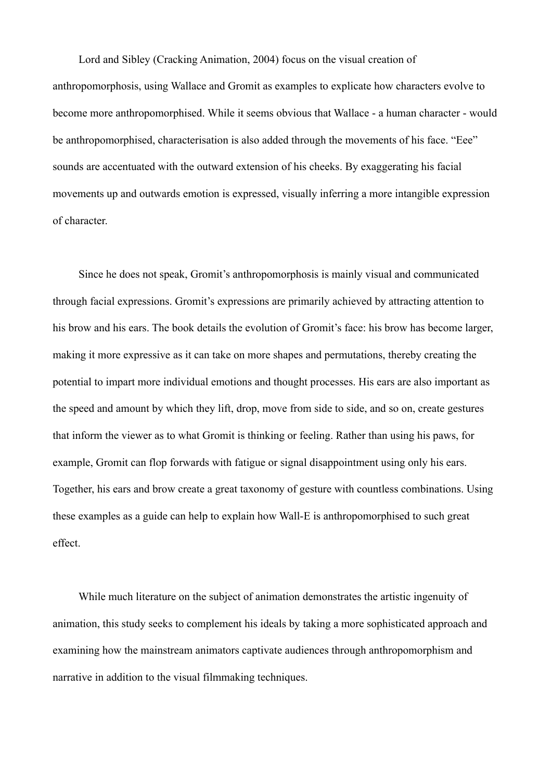Lord and Sibley (Cracking Animation, 2004) focus on the visual creation of anthropomorphosis, using Wallace and Gromit as examples to explicate how characters evolve to become more anthropomorphised. While it seems obvious that Wallace - a human character - would be anthropomorphised, characterisation is also added through the movements of his face. "Eee" sounds are accentuated with the outward extension of his cheeks. By exaggerating his facial movements up and outwards emotion is expressed, visually inferring a more intangible expression of character.

 Since he does not speak, Gromit's anthropomorphosis is mainly visual and communicated through facial expressions. Gromit's expressions are primarily achieved by attracting attention to his brow and his ears. The book details the evolution of Gromit's face: his brow has become larger, making it more expressive as it can take on more shapes and permutations, thereby creating the potential to impart more individual emotions and thought processes. His ears are also important as the speed and amount by which they lift, drop, move from side to side, and so on, create gestures that inform the viewer as to what Gromit is thinking or feeling. Rather than using his paws, for example, Gromit can flop forwards with fatigue or signal disappointment using only his ears. Together, his ears and brow create a great taxonomy of gesture with countless combinations. Using these examples as a guide can help to explain how Wall-E is anthropomorphised to such great effect.

 While much literature on the subject of animation demonstrates the artistic ingenuity of animation, this study seeks to complement his ideals by taking a more sophisticated approach and examining how the mainstream animators captivate audiences through anthropomorphism and narrative in addition to the visual filmmaking techniques.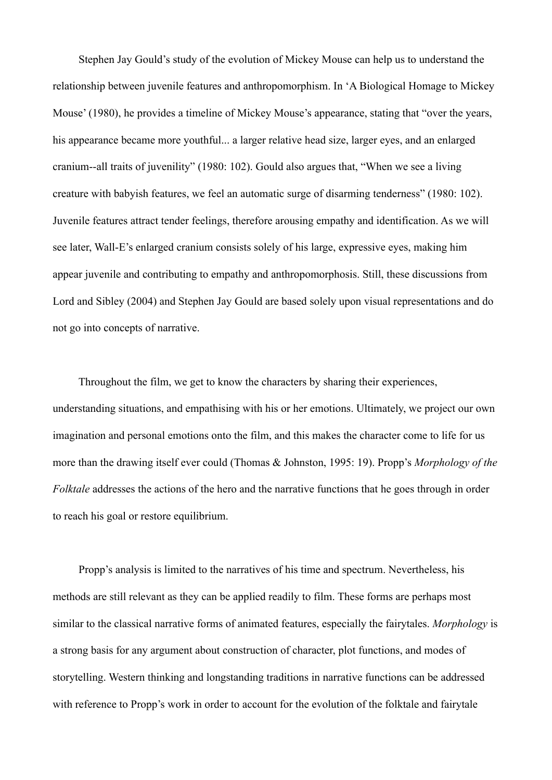Stephen Jay Gould's study of the evolution of Mickey Mouse can help us to understand the relationship between juvenile features and anthropomorphism. In 'A Biological Homage to Mickey Mouse' (1980), he provides a timeline of Mickey Mouse's appearance, stating that "over the years, his appearance became more youthful... a larger relative head size, larger eyes, and an enlarged cranium--all traits of juvenility" (1980: 102). Gould also argues that, "When we see a living creature with babyish features, we feel an automatic surge of disarming tenderness" (1980: 102). Juvenile features attract tender feelings, therefore arousing empathy and identification. As we will see later, Wall-E's enlarged cranium consists solely of his large, expressive eyes, making him appear juvenile and contributing to empathy and anthropomorphosis. Still, these discussions from Lord and Sibley (2004) and Stephen Jay Gould are based solely upon visual representations and do not go into concepts of narrative.

 Throughout the film, we get to know the characters by sharing their experiences, understanding situations, and empathising with his or her emotions. Ultimately, we project our own imagination and personal emotions onto the film, and this makes the character come to life for us more than the drawing itself ever could (Thomas & Johnston, 1995: 19). Propp's *Morphology of the Folktale* addresses the actions of the hero and the narrative functions that he goes through in order to reach his goal or restore equilibrium.

 Propp's analysis is limited to the narratives of his time and spectrum. Nevertheless, his methods are still relevant as they can be applied readily to film. These forms are perhaps most similar to the classical narrative forms of animated features, especially the fairytales. *Morphology* is a strong basis for any argument about construction of character, plot functions, and modes of storytelling. Western thinking and longstanding traditions in narrative functions can be addressed with reference to Propp's work in order to account for the evolution of the folktale and fairytale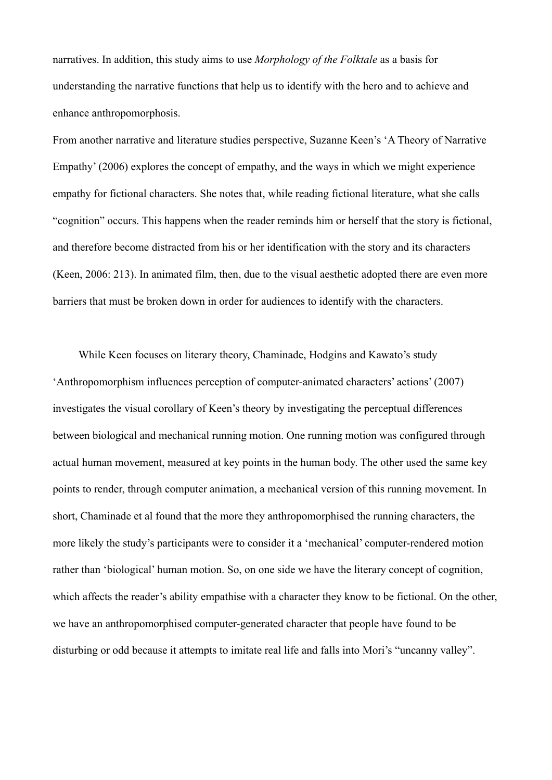narratives. In addition, this study aims to use *Morphology of the Folktale* as a basis for understanding the narrative functions that help us to identify with the hero and to achieve and enhance anthropomorphosis.

From another narrative and literature studies perspective, Suzanne Keen's 'A Theory of Narrative Empathy' (2006) explores the concept of empathy, and the ways in which we might experience empathy for fictional characters. She notes that, while reading fictional literature, what she calls "cognition" occurs. This happens when the reader reminds him or herself that the story is fictional, and therefore become distracted from his or her identification with the story and its characters (Keen, 2006: 213). In animated film, then, due to the visual aesthetic adopted there are even more barriers that must be broken down in order for audiences to identify with the characters.

 While Keen focuses on literary theory, Chaminade, Hodgins and Kawato's study 'Anthropomorphism influences perception of computer-animated characters' actions' (2007) investigates the visual corollary of Keen's theory by investigating the perceptual differences between biological and mechanical running motion. One running motion was configured through actual human movement, measured at key points in the human body. The other used the same key points to render, through computer animation, a mechanical version of this running movement. In short, Chaminade et al found that the more they anthropomorphised the running characters, the more likely the study's participants were to consider it a 'mechanical' computer-rendered motion rather than 'biological' human motion. So, on one side we have the literary concept of cognition, which affects the reader's ability empathise with a character they know to be fictional. On the other, we have an anthropomorphised computer-generated character that people have found to be disturbing or odd because it attempts to imitate real life and falls into Mori's "uncanny valley".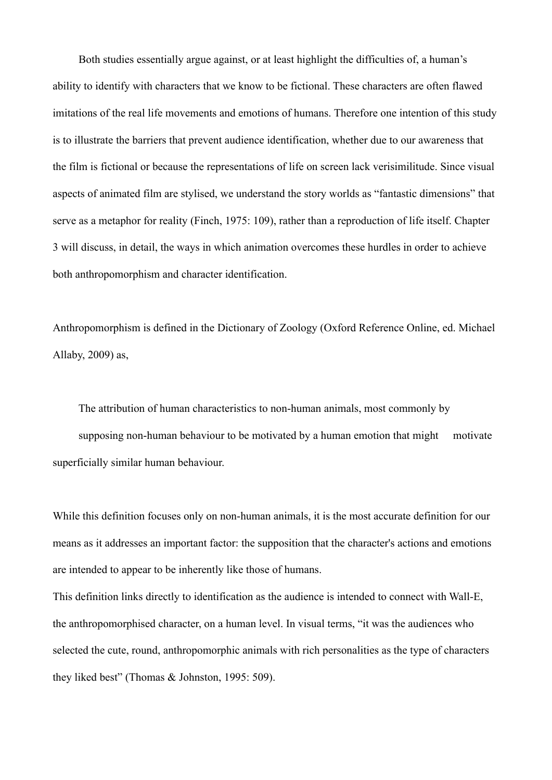Both studies essentially argue against, or at least highlight the difficulties of, a human's ability to identify with characters that we know to be fictional. These characters are often flawed imitations of the real life movements and emotions of humans. Therefore one intention of this study is to illustrate the barriers that prevent audience identification, whether due to our awareness that the film is fictional or because the representations of life on screen lack verisimilitude. Since visual aspects of animated film are stylised, we understand the story worlds as "fantastic dimensions" that serve as a metaphor for reality (Finch, 1975: 109), rather than a reproduction of life itself. Chapter 3 will discuss, in detail, the ways in which animation overcomes these hurdles in order to achieve both anthropomorphism and character identification.

Anthropomorphism is defined in the Dictionary of Zoology (Oxford Reference Online, ed. Michael Allaby, 2009) as,

 The attribution of human characteristics to non-human animals, most commonly by supposing non-human behaviour to be motivated by a human emotion that might motivate superficially similar human behaviour.

While this definition focuses only on non-human animals, it is the most accurate definition for our means as it addresses an important factor: the supposition that the character's actions and emotions are intended to appear to be inherently like those of humans.

This definition links directly to identification as the audience is intended to connect with Wall-E, the anthropomorphised character, on a human level. In visual terms, "it was the audiences who selected the cute, round, anthropomorphic animals with rich personalities as the type of characters they liked best" (Thomas & Johnston, 1995: 509).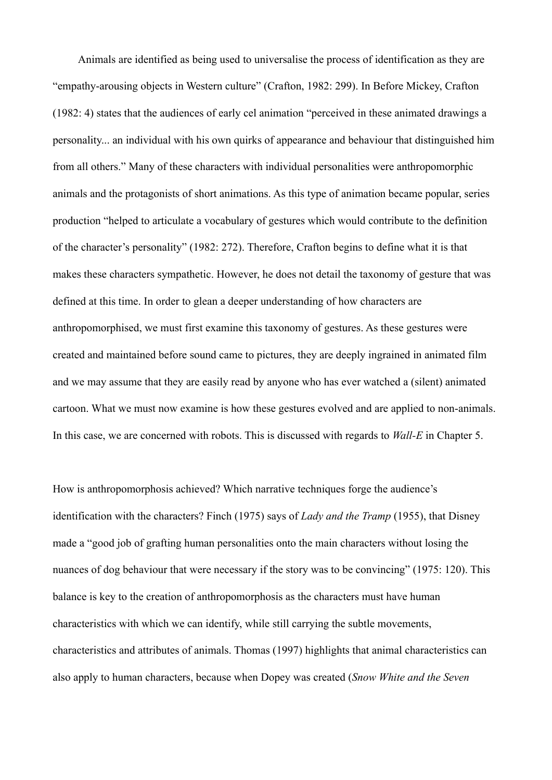Animals are identified as being used to universalise the process of identification as they are "empathy-arousing objects in Western culture" (Crafton, 1982: 299). In Before Mickey, Crafton (1982: 4) states that the audiences of early cel animation "perceived in these animated drawings a personality... an individual with his own quirks of appearance and behaviour that distinguished him from all others." Many of these characters with individual personalities were anthropomorphic animals and the protagonists of short animations. As this type of animation became popular, series production "helped to articulate a vocabulary of gestures which would contribute to the definition of the character's personality" (1982: 272). Therefore, Crafton begins to define what it is that makes these characters sympathetic. However, he does not detail the taxonomy of gesture that was defined at this time. In order to glean a deeper understanding of how characters are anthropomorphised, we must first examine this taxonomy of gestures. As these gestures were created and maintained before sound came to pictures, they are deeply ingrained in animated film and we may assume that they are easily read by anyone who has ever watched a (silent) animated cartoon. What we must now examine is how these gestures evolved and are applied to non-animals. In this case, we are concerned with robots. This is discussed with regards to *Wall-E* in Chapter 5.

How is anthropomorphosis achieved? Which narrative techniques forge the audience's identification with the characters? Finch (1975) says of *Lady and the Tramp* (1955), that Disney made a "good job of grafting human personalities onto the main characters without losing the nuances of dog behaviour that were necessary if the story was to be convincing" (1975: 120). This balance is key to the creation of anthropomorphosis as the characters must have human characteristics with which we can identify, while still carrying the subtle movements, characteristics and attributes of animals. Thomas (1997) highlights that animal characteristics can also apply to human characters, because when Dopey was created (*Snow White and the Seven*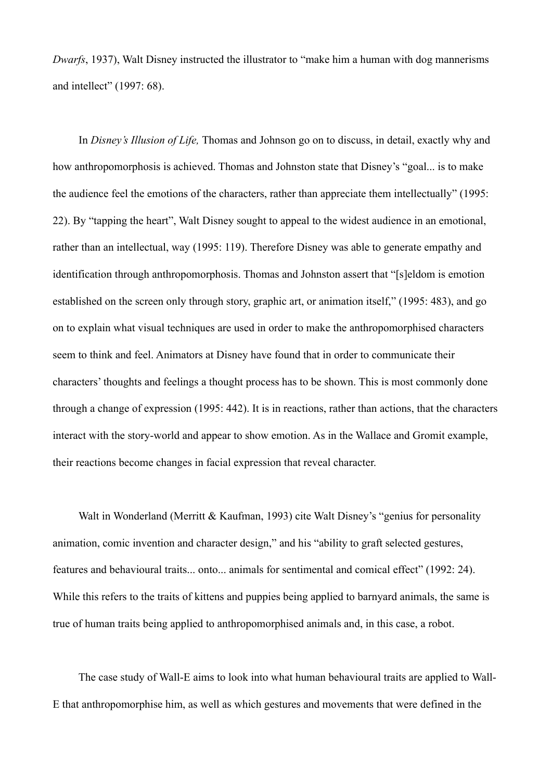*Dwarfs*, 1937), Walt Disney instructed the illustrator to "make him a human with dog mannerisms and intellect" (1997: 68).

 In *Disney's Illusion of Life,* Thomas and Johnson go on to discuss, in detail, exactly why and how anthropomorphosis is achieved. Thomas and Johnston state that Disney's "goal... is to make the audience feel the emotions of the characters, rather than appreciate them intellectually" (1995: 22). By "tapping the heart", Walt Disney sought to appeal to the widest audience in an emotional, rather than an intellectual, way (1995: 119). Therefore Disney was able to generate empathy and identification through anthropomorphosis. Thomas and Johnston assert that "[s]eldom is emotion established on the screen only through story, graphic art, or animation itself," (1995: 483), and go on to explain what visual techniques are used in order to make the anthropomorphised characters seem to think and feel. Animators at Disney have found that in order to communicate their characters' thoughts and feelings a thought process has to be shown. This is most commonly done through a change of expression (1995: 442). It is in reactions, rather than actions, that the characters interact with the story-world and appear to show emotion. As in the Wallace and Gromit example, their reactions become changes in facial expression that reveal character.

Walt in Wonderland (Merritt & Kaufman, 1993) cite Walt Disney's "genius for personality animation, comic invention and character design," and his "ability to graft selected gestures, features and behavioural traits... onto... animals for sentimental and comical effect" (1992: 24). While this refers to the traits of kittens and puppies being applied to barnyard animals, the same is true of human traits being applied to anthropomorphised animals and, in this case, a robot.

 The case study of Wall-E aims to look into what human behavioural traits are applied to Wall-E that anthropomorphise him, as well as which gestures and movements that were defined in the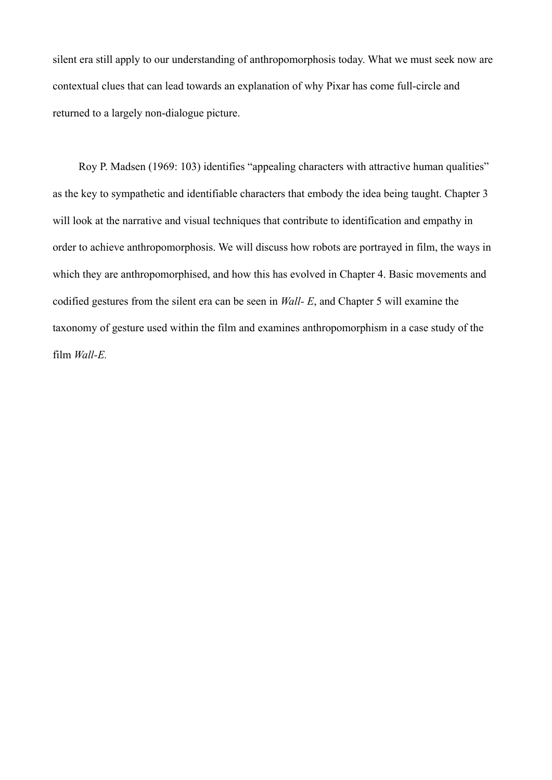silent era still apply to our understanding of anthropomorphosis today. What we must seek now are contextual clues that can lead towards an explanation of why Pixar has come full-circle and returned to a largely non-dialogue picture.

 Roy P. Madsen (1969: 103) identifies "appealing characters with attractive human qualities" as the key to sympathetic and identifiable characters that embody the idea being taught. Chapter 3 will look at the narrative and visual techniques that contribute to identification and empathy in order to achieve anthropomorphosis. We will discuss how robots are portrayed in film, the ways in which they are anthropomorphised, and how this has evolved in Chapter 4. Basic movements and codified gestures from the silent era can be seen in *Wall- E*, and Chapter 5 will examine the taxonomy of gesture used within the film and examines anthropomorphism in a case study of the film *Wall-E.*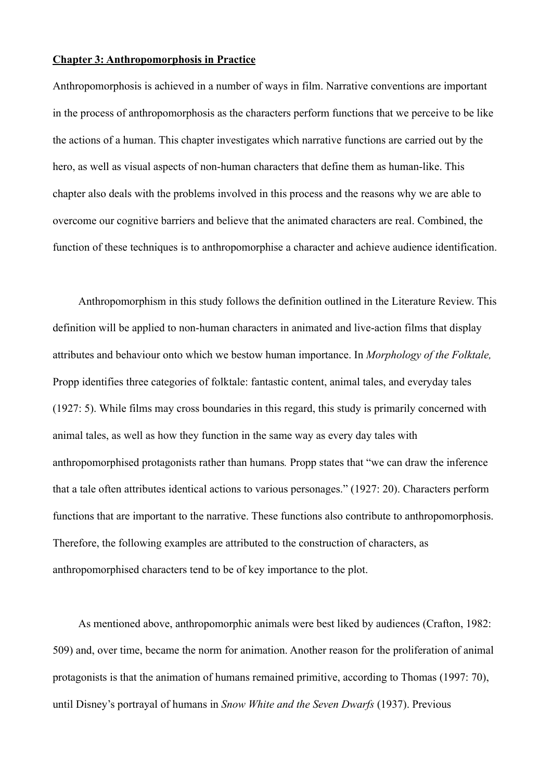#### **Chapter 3: Anthropomorphosis in Practice**

Anthropomorphosis is achieved in a number of ways in film. Narrative conventions are important in the process of anthropomorphosis as the characters perform functions that we perceive to be like the actions of a human. This chapter investigates which narrative functions are carried out by the hero, as well as visual aspects of non-human characters that define them as human-like. This chapter also deals with the problems involved in this process and the reasons why we are able to overcome our cognitive barriers and believe that the animated characters are real. Combined, the function of these techniques is to anthropomorphise a character and achieve audience identification.

 Anthropomorphism in this study follows the definition outlined in the Literature Review. This definition will be applied to non-human characters in animated and live-action films that display attributes and behaviour onto which we bestow human importance. In *Morphology of the Folktale,*  Propp identifies three categories of folktale: fantastic content, animal tales, and everyday tales (1927: 5). While films may cross boundaries in this regard, this study is primarily concerned with animal tales, as well as how they function in the same way as every day tales with anthropomorphised protagonists rather than humans*.* Propp states that "we can draw the inference that a tale often attributes identical actions to various personages." (1927: 20). Characters perform functions that are important to the narrative. These functions also contribute to anthropomorphosis. Therefore, the following examples are attributed to the construction of characters, as anthropomorphised characters tend to be of key importance to the plot.

 As mentioned above, anthropomorphic animals were best liked by audiences (Crafton, 1982: 509) and, over time, became the norm for animation. Another reason for the proliferation of animal protagonists is that the animation of humans remained primitive, according to Thomas (1997: 70), until Disney's portrayal of humans in *Snow White and the Seven Dwarfs* (1937). Previous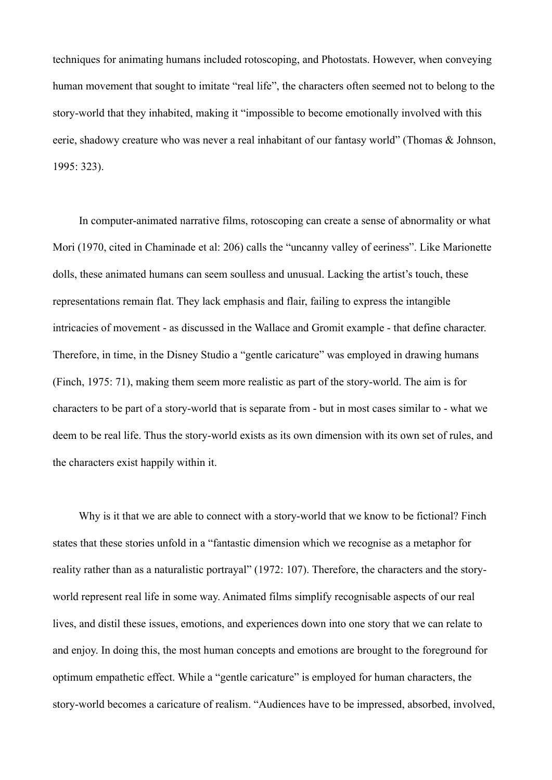techniques for animating humans included rotoscoping, and Photostats. However, when conveying human movement that sought to imitate "real life", the characters often seemed not to belong to the story-world that they inhabited, making it "impossible to become emotionally involved with this eerie, shadowy creature who was never a real inhabitant of our fantasy world" (Thomas & Johnson, 1995: 323).

 In computer-animated narrative films, rotoscoping can create a sense of abnormality or what Mori (1970, cited in Chaminade et al: 206) calls the "uncanny valley of eeriness". Like Marionette dolls, these animated humans can seem soulless and unusual. Lacking the artist's touch, these representations remain flat. They lack emphasis and flair, failing to express the intangible intricacies of movement - as discussed in the Wallace and Gromit example - that define character. Therefore, in time, in the Disney Studio a "gentle caricature" was employed in drawing humans (Finch, 1975: 71), making them seem more realistic as part of the story-world. The aim is for characters to be part of a story-world that is separate from - but in most cases similar to - what we deem to be real life. Thus the story-world exists as its own dimension with its own set of rules, and the characters exist happily within it.

 Why is it that we are able to connect with a story-world that we know to be fictional? Finch states that these stories unfold in a "fantastic dimension which we recognise as a metaphor for reality rather than as a naturalistic portrayal" (1972: 107). Therefore, the characters and the storyworld represent real life in some way. Animated films simplify recognisable aspects of our real lives, and distil these issues, emotions, and experiences down into one story that we can relate to and enjoy. In doing this, the most human concepts and emotions are brought to the foreground for optimum empathetic effect. While a "gentle caricature" is employed for human characters, the story-world becomes a caricature of realism. "Audiences have to be impressed, absorbed, involved,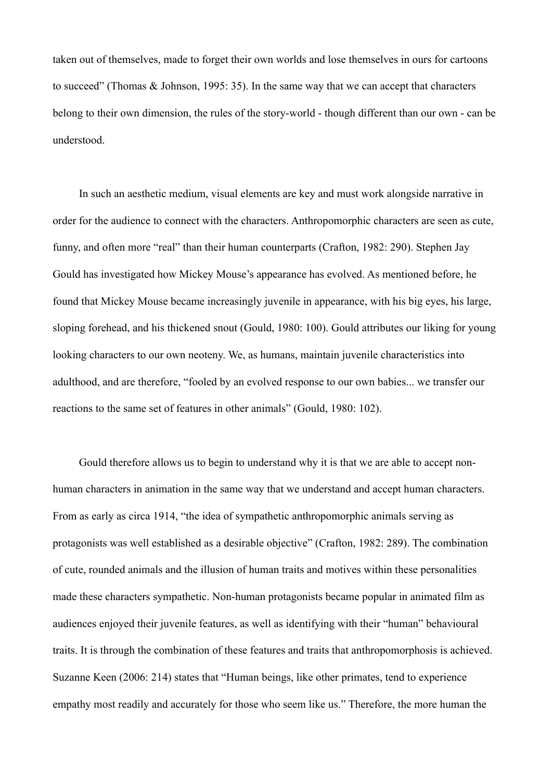taken out of themselves, made to forget their own worlds and lose themselves in ours for cartoons to succeed" (Thomas & Johnson, 1995: 35). In the same way that we can accept that characters belong to their own dimension, the rules of the story-world - though different than our own - can be understood.

 In such an aesthetic medium, visual elements are key and must work alongside narrative in order for the audience to connect with the characters. Anthropomorphic characters are seen as cute, funny, and often more "real" than their human counterparts (Crafton, 1982: 290). Stephen Jay Gould has investigated how Mickey Mouse's appearance has evolved. As mentioned before, he found that Mickey Mouse became increasingly juvenile in appearance, with his big eyes, his large, sloping forehead, and his thickened snout (Gould, 1980: 100). Gould attributes our liking for young looking characters to our own neoteny. We, as humans, maintain juvenile characteristics into adulthood, and are therefore, "fooled by an evolved response to our own babies... we transfer our reactions to the same set of features in other animals" (Gould, 1980: 102).

 Gould therefore allows us to begin to understand why it is that we are able to accept nonhuman characters in animation in the same way that we understand and accept human characters. From as early as circa 1914, "the idea of sympathetic anthropomorphic animals serving as protagonists was well established as a desirable objective" (Crafton, 1982: 289). The combination of cute, rounded animals and the illusion of human traits and motives within these personalities made these characters sympathetic. Non-human protagonists became popular in animated film as audiences enjoyed their juvenile features, as well as identifying with their "human" behavioural traits. It is through the combination of these features and traits that anthropomorphosis is achieved. Suzanne Keen (2006: 214) states that "Human beings, like other primates, tend to experience empathy most readily and accurately for those who seem like us." Therefore, the more human the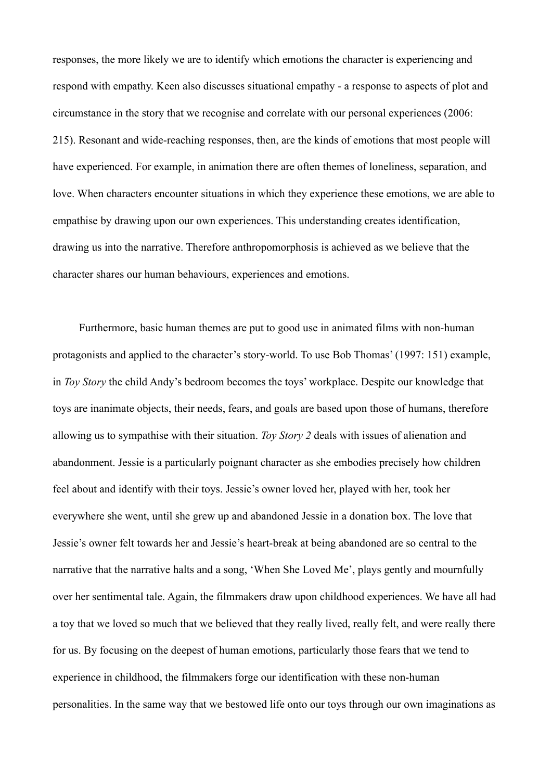responses, the more likely we are to identify which emotions the character is experiencing and respond with empathy. Keen also discusses situational empathy - a response to aspects of plot and circumstance in the story that we recognise and correlate with our personal experiences (2006: 215). Resonant and wide-reaching responses, then, are the kinds of emotions that most people will have experienced. For example, in animation there are often themes of loneliness, separation, and love. When characters encounter situations in which they experience these emotions, we are able to empathise by drawing upon our own experiences. This understanding creates identification, drawing us into the narrative. Therefore anthropomorphosis is achieved as we believe that the character shares our human behaviours, experiences and emotions.

 Furthermore, basic human themes are put to good use in animated films with non-human protagonists and applied to the character's story-world. To use Bob Thomas' (1997: 151) example, in *Toy Story* the child Andy's bedroom becomes the toys' workplace. Despite our knowledge that toys are inanimate objects, their needs, fears, and goals are based upon those of humans, therefore allowing us to sympathise with their situation. *Toy Story 2* deals with issues of alienation and abandonment. Jessie is a particularly poignant character as she embodies precisely how children feel about and identify with their toys. Jessie's owner loved her, played with her, took her everywhere she went, until she grew up and abandoned Jessie in a donation box. The love that Jessie's owner felt towards her and Jessie's heart-break at being abandoned are so central to the narrative that the narrative halts and a song, 'When She Loved Me', plays gently and mournfully over her sentimental tale. Again, the filmmakers draw upon childhood experiences. We have all had a toy that we loved so much that we believed that they really lived, really felt, and were really there for us. By focusing on the deepest of human emotions, particularly those fears that we tend to experience in childhood, the filmmakers forge our identification with these non-human personalities. In the same way that we bestowed life onto our toys through our own imaginations as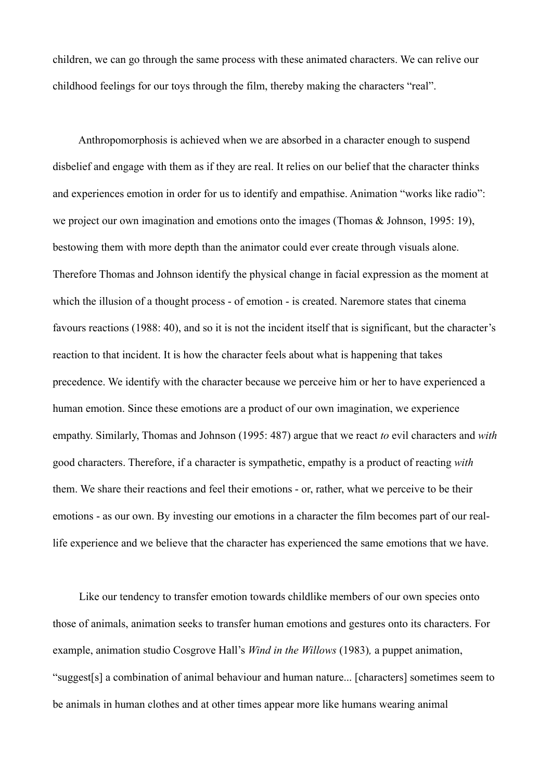children, we can go through the same process with these animated characters. We can relive our childhood feelings for our toys through the film, thereby making the characters "real".

 Anthropomorphosis is achieved when we are absorbed in a character enough to suspend disbelief and engage with them as if they are real. It relies on our belief that the character thinks and experiences emotion in order for us to identify and empathise. Animation "works like radio": we project our own imagination and emotions onto the images (Thomas & Johnson, 1995: 19), bestowing them with more depth than the animator could ever create through visuals alone. Therefore Thomas and Johnson identify the physical change in facial expression as the moment at which the illusion of a thought process - of emotion - is created. Naremore states that cinema favours reactions (1988: 40), and so it is not the incident itself that is significant, but the character's reaction to that incident. It is how the character feels about what is happening that takes precedence. We identify with the character because we perceive him or her to have experienced a human emotion. Since these emotions are a product of our own imagination, we experience empathy. Similarly, Thomas and Johnson (1995: 487) argue that we react *to* evil characters and *with* good characters. Therefore, if a character is sympathetic, empathy is a product of reacting *with* them. We share their reactions and feel their emotions - or, rather, what we perceive to be their emotions - as our own. By investing our emotions in a character the film becomes part of our reallife experience and we believe that the character has experienced the same emotions that we have.

 Like our tendency to transfer emotion towards childlike members of our own species onto those of animals, animation seeks to transfer human emotions and gestures onto its characters. For example, animation studio Cosgrove Hall's *Wind in the Willows* (1983)*,* a puppet animation, "suggest[s] a combination of animal behaviour and human nature... [characters] sometimes seem to be animals in human clothes and at other times appear more like humans wearing animal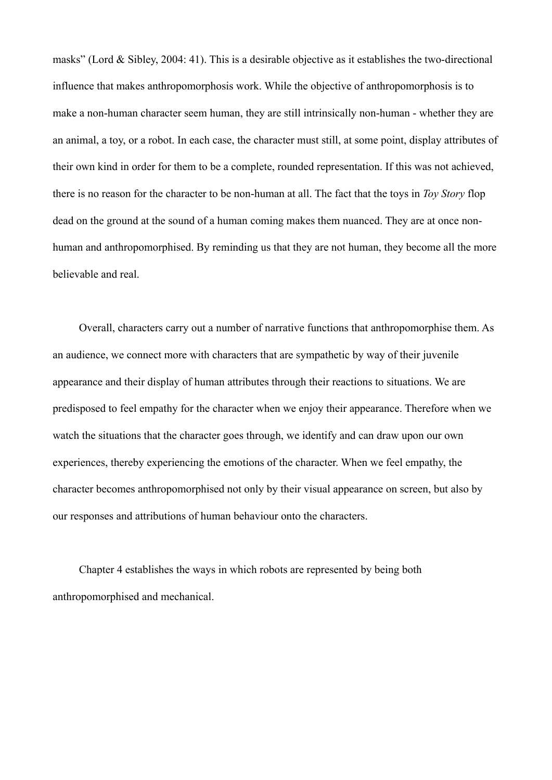masks" (Lord & Sibley, 2004: 41). This is a desirable objective as it establishes the two-directional influence that makes anthropomorphosis work. While the objective of anthropomorphosis is to make a non-human character seem human, they are still intrinsically non-human - whether they are an animal, a toy, or a robot. In each case, the character must still, at some point, display attributes of their own kind in order for them to be a complete, rounded representation. If this was not achieved, there is no reason for the character to be non-human at all. The fact that the toys in *Toy Story* flop dead on the ground at the sound of a human coming makes them nuanced. They are at once nonhuman and anthropomorphised. By reminding us that they are not human, they become all the more believable and real.

 Overall, characters carry out a number of narrative functions that anthropomorphise them. As an audience, we connect more with characters that are sympathetic by way of their juvenile appearance and their display of human attributes through their reactions to situations. We are predisposed to feel empathy for the character when we enjoy their appearance. Therefore when we watch the situations that the character goes through, we identify and can draw upon our own experiences, thereby experiencing the emotions of the character. When we feel empathy, the character becomes anthropomorphised not only by their visual appearance on screen, but also by our responses and attributions of human behaviour onto the characters.

 Chapter 4 establishes the ways in which robots are represented by being both anthropomorphised and mechanical.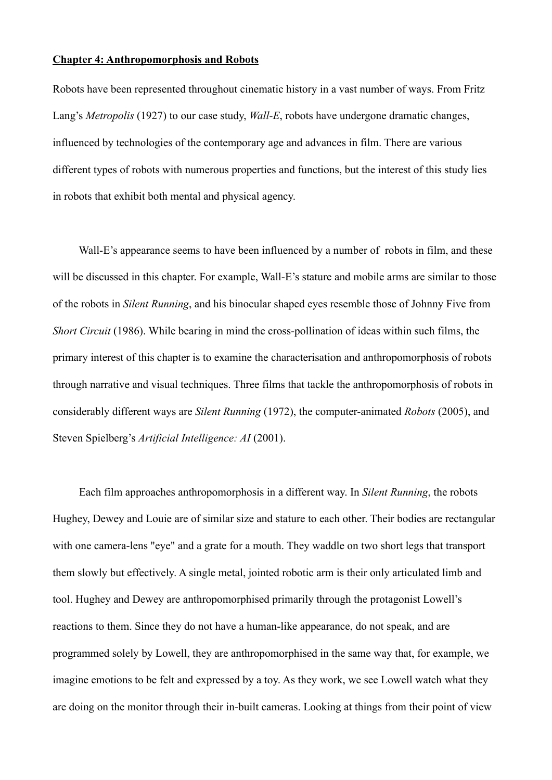#### **Chapter 4: Anthropomorphosis and Robots**

Robots have been represented throughout cinematic history in a vast number of ways. From Fritz Lang's *Metropolis* (1927) to our case study, *Wall-E*, robots have undergone dramatic changes, influenced by technologies of the contemporary age and advances in film. There are various different types of robots with numerous properties and functions, but the interest of this study lies in robots that exhibit both mental and physical agency.

Wall-E's appearance seems to have been influenced by a number of robots in film, and these will be discussed in this chapter. For example, Wall-E's stature and mobile arms are similar to those of the robots in *Silent Running*, and his binocular shaped eyes resemble those of Johnny Five from *Short Circuit* (1986). While bearing in mind the cross-pollination of ideas within such films, the primary interest of this chapter is to examine the characterisation and anthropomorphosis of robots through narrative and visual techniques. Three films that tackle the anthropomorphosis of robots in considerably different ways are *Silent Running* (1972), the computer-animated *Robots* (2005), and Steven Spielberg's *Artificial Intelligence: AI* (2001).

 Each film approaches anthropomorphosis in a different way. In *Silent Running*, the robots Hughey, Dewey and Louie are of similar size and stature to each other. Their bodies are rectangular with one camera-lens "eye" and a grate for a mouth. They waddle on two short legs that transport them slowly but effectively. A single metal, jointed robotic arm is their only articulated limb and tool. Hughey and Dewey are anthropomorphised primarily through the protagonist Lowell's reactions to them. Since they do not have a human-like appearance, do not speak, and are programmed solely by Lowell, they are anthropomorphised in the same way that, for example, we imagine emotions to be felt and expressed by a toy. As they work, we see Lowell watch what they are doing on the monitor through their in-built cameras. Looking at things from their point of view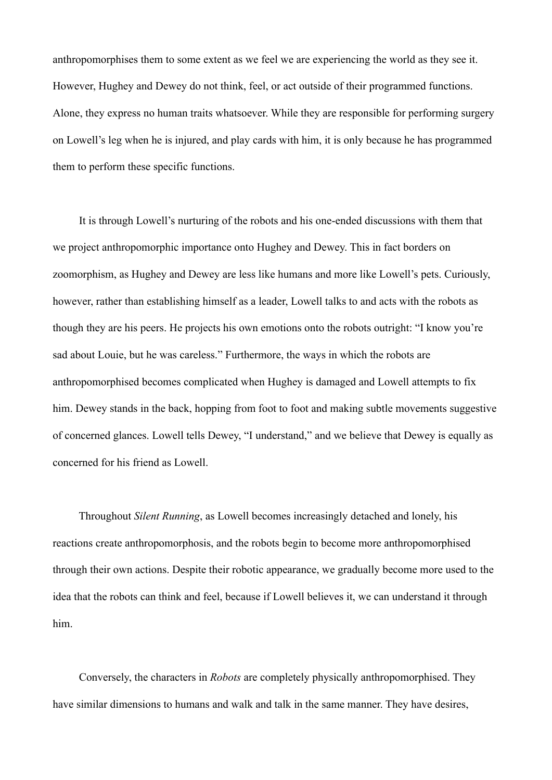anthropomorphises them to some extent as we feel we are experiencing the world as they see it. However, Hughey and Dewey do not think, feel, or act outside of their programmed functions. Alone, they express no human traits whatsoever. While they are responsible for performing surgery on Lowell's leg when he is injured, and play cards with him, it is only because he has programmed them to perform these specific functions.

 It is through Lowell's nurturing of the robots and his one-ended discussions with them that we project anthropomorphic importance onto Hughey and Dewey. This in fact borders on zoomorphism, as Hughey and Dewey are less like humans and more like Lowell's pets. Curiously, however, rather than establishing himself as a leader, Lowell talks to and acts with the robots as though they are his peers. He projects his own emotions onto the robots outright: "I know you're sad about Louie, but he was careless." Furthermore, the ways in which the robots are anthropomorphised becomes complicated when Hughey is damaged and Lowell attempts to fix him. Dewey stands in the back, hopping from foot to foot and making subtle movements suggestive of concerned glances. Lowell tells Dewey, "I understand," and we believe that Dewey is equally as concerned for his friend as Lowell.

 Throughout *Silent Running*, as Lowell becomes increasingly detached and lonely, his reactions create anthropomorphosis, and the robots begin to become more anthropomorphised through their own actions. Despite their robotic appearance, we gradually become more used to the idea that the robots can think and feel, because if Lowell believes it, we can understand it through him.

 Conversely, the characters in *Robots* are completely physically anthropomorphised. They have similar dimensions to humans and walk and talk in the same manner. They have desires,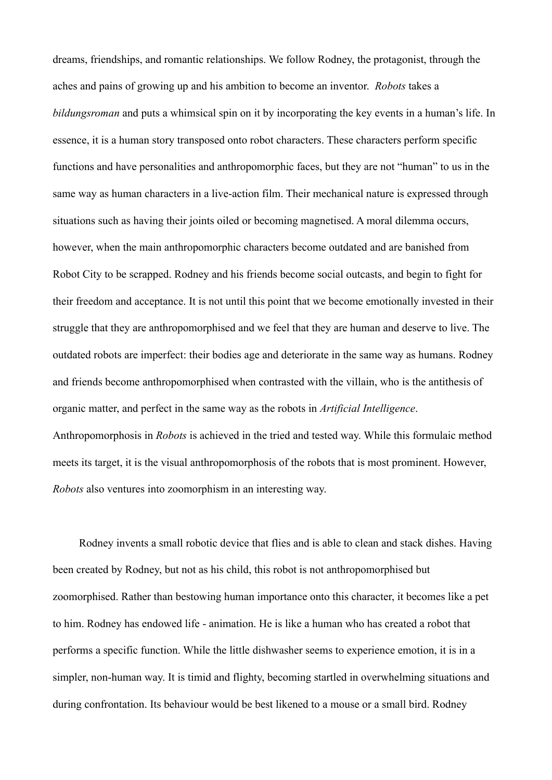dreams, friendships, and romantic relationships. We follow Rodney, the protagonist, through the aches and pains of growing up and his ambition to become an inventor. *Robots* takes a *bildungsroman* and puts a whimsical spin on it by incorporating the key events in a human's life. In essence, it is a human story transposed onto robot characters. These characters perform specific functions and have personalities and anthropomorphic faces, but they are not "human" to us in the same way as human characters in a live-action film. Their mechanical nature is expressed through situations such as having their joints oiled or becoming magnetised. A moral dilemma occurs, however, when the main anthropomorphic characters become outdated and are banished from Robot City to be scrapped. Rodney and his friends become social outcasts, and begin to fight for their freedom and acceptance. It is not until this point that we become emotionally invested in their struggle that they are anthropomorphised and we feel that they are human and deserve to live. The outdated robots are imperfect: their bodies age and deteriorate in the same way as humans. Rodney and friends become anthropomorphised when contrasted with the villain, who is the antithesis of organic matter, and perfect in the same way as the robots in *Artificial Intelligence*. Anthropomorphosis in *Robots* is achieved in the tried and tested way. While this formulaic method meets its target, it is the visual anthropomorphosis of the robots that is most prominent. However, *Robots* also ventures into zoomorphism in an interesting way.

 Rodney invents a small robotic device that flies and is able to clean and stack dishes. Having been created by Rodney, but not as his child, this robot is not anthropomorphised but zoomorphised. Rather than bestowing human importance onto this character, it becomes like a pet to him. Rodney has endowed life - animation. He is like a human who has created a robot that performs a specific function. While the little dishwasher seems to experience emotion, it is in a simpler, non-human way. It is timid and flighty, becoming startled in overwhelming situations and during confrontation. Its behaviour would be best likened to a mouse or a small bird. Rodney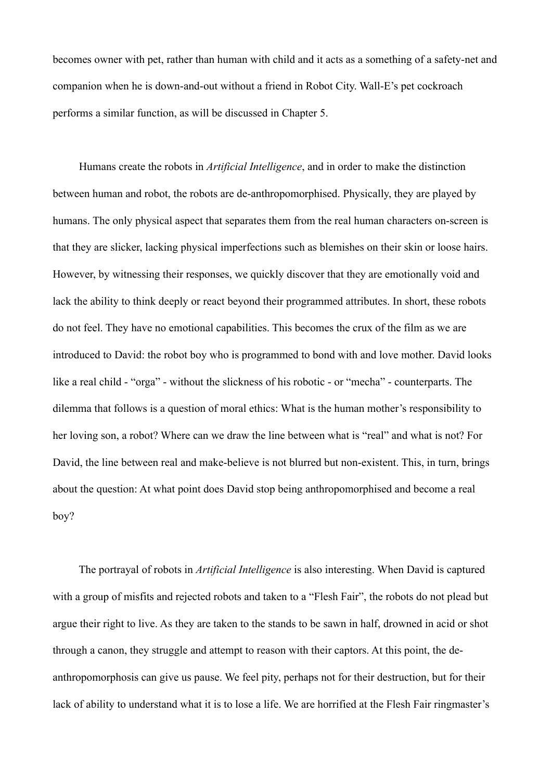becomes owner with pet, rather than human with child and it acts as a something of a safety-net and companion when he is down-and-out without a friend in Robot City. Wall-E's pet cockroach performs a similar function, as will be discussed in Chapter 5.

 Humans create the robots in *Artificial Intelligence*, and in order to make the distinction between human and robot, the robots are de-anthropomorphised. Physically, they are played by humans. The only physical aspect that separates them from the real human characters on-screen is that they are slicker, lacking physical imperfections such as blemishes on their skin or loose hairs. However, by witnessing their responses, we quickly discover that they are emotionally void and lack the ability to think deeply or react beyond their programmed attributes. In short, these robots do not feel. They have no emotional capabilities. This becomes the crux of the film as we are introduced to David: the robot boy who is programmed to bond with and love mother. David looks like a real child - "orga" - without the slickness of his robotic - or "mecha" - counterparts. The dilemma that follows is a question of moral ethics: What is the human mother's responsibility to her loving son, a robot? Where can we draw the line between what is "real" and what is not? For David, the line between real and make-believe is not blurred but non-existent. This, in turn, brings about the question: At what point does David stop being anthropomorphised and become a real boy?

 The portrayal of robots in *Artificial Intelligence* is also interesting. When David is captured with a group of misfits and rejected robots and taken to a "Flesh Fair", the robots do not plead but argue their right to live. As they are taken to the stands to be sawn in half, drowned in acid or shot through a canon, they struggle and attempt to reason with their captors. At this point, the deanthropomorphosis can give us pause. We feel pity, perhaps not for their destruction, but for their lack of ability to understand what it is to lose a life. We are horrified at the Flesh Fair ringmaster's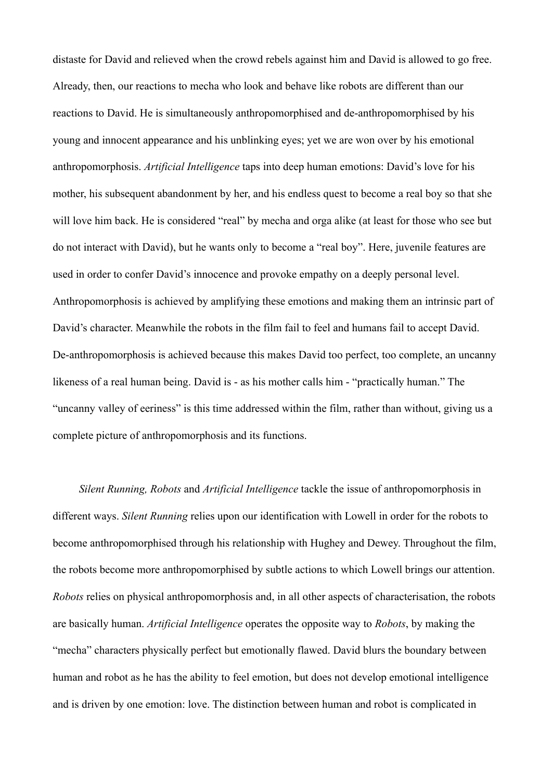distaste for David and relieved when the crowd rebels against him and David is allowed to go free. Already, then, our reactions to mecha who look and behave like robots are different than our reactions to David. He is simultaneously anthropomorphised and de-anthropomorphised by his young and innocent appearance and his unblinking eyes; yet we are won over by his emotional anthropomorphosis. *Artificial Intelligence* taps into deep human emotions: David's love for his mother, his subsequent abandonment by her, and his endless quest to become a real boy so that she will love him back. He is considered "real" by mecha and orga alike (at least for those who see but do not interact with David), but he wants only to become a "real boy". Here, juvenile features are used in order to confer David's innocence and provoke empathy on a deeply personal level. Anthropomorphosis is achieved by amplifying these emotions and making them an intrinsic part of David's character. Meanwhile the robots in the film fail to feel and humans fail to accept David. De-anthropomorphosis is achieved because this makes David too perfect, too complete, an uncanny likeness of a real human being. David is - as his mother calls him - "practically human." The "uncanny valley of eeriness" is this time addressed within the film, rather than without, giving us a complete picture of anthropomorphosis and its functions.

*Silent Running, Robots* and *Artificial Intelligence* tackle the issue of anthropomorphosis in different ways. *Silent Running* relies upon our identification with Lowell in order for the robots to become anthropomorphised through his relationship with Hughey and Dewey. Throughout the film, the robots become more anthropomorphised by subtle actions to which Lowell brings our attention. *Robots* relies on physical anthropomorphosis and, in all other aspects of characterisation, the robots are basically human. *Artificial Intelligence* operates the opposite way to *Robots*, by making the "mecha" characters physically perfect but emotionally flawed. David blurs the boundary between human and robot as he has the ability to feel emotion, but does not develop emotional intelligence and is driven by one emotion: love. The distinction between human and robot is complicated in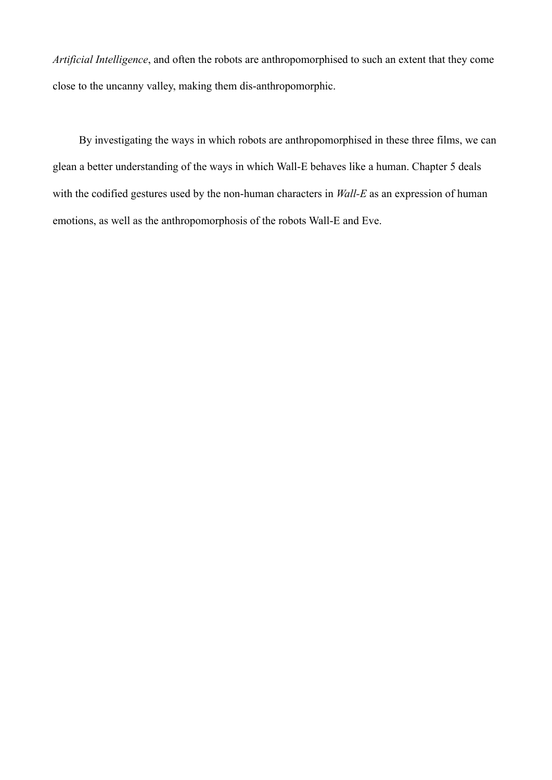*Artificial Intelligence*, and often the robots are anthropomorphised to such an extent that they come close to the uncanny valley, making them dis-anthropomorphic.

 By investigating the ways in which robots are anthropomorphised in these three films, we can glean a better understanding of the ways in which Wall-E behaves like a human. Chapter 5 deals with the codified gestures used by the non-human characters in *Wall-E* as an expression of human emotions, as well as the anthropomorphosis of the robots Wall-E and Eve.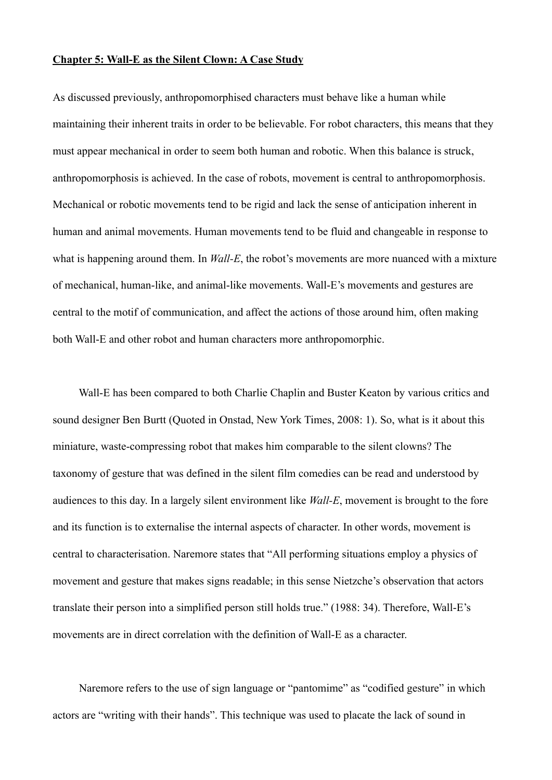#### **Chapter 5: Wall-E as the Silent Clown: A Case Study**

As discussed previously, anthropomorphised characters must behave like a human while maintaining their inherent traits in order to be believable. For robot characters, this means that they must appear mechanical in order to seem both human and robotic. When this balance is struck, anthropomorphosis is achieved. In the case of robots, movement is central to anthropomorphosis. Mechanical or robotic movements tend to be rigid and lack the sense of anticipation inherent in human and animal movements. Human movements tend to be fluid and changeable in response to what is happening around them. In *Wall-E*, the robot's movements are more nuanced with a mixture of mechanical, human-like, and animal-like movements. Wall-E's movements and gestures are central to the motif of communication, and affect the actions of those around him, often making both Wall-E and other robot and human characters more anthropomorphic.

 Wall-E has been compared to both Charlie Chaplin and Buster Keaton by various critics and sound designer Ben Burtt (Quoted in Onstad, New York Times, 2008: 1). So, what is it about this miniature, waste-compressing robot that makes him comparable to the silent clowns? The taxonomy of gesture that was defined in the silent film comedies can be read and understood by audiences to this day. In a largely silent environment like *Wall-E*, movement is brought to the fore and its function is to externalise the internal aspects of character. In other words, movement is central to characterisation. Naremore states that "All performing situations employ a physics of movement and gesture that makes signs readable; in this sense Nietzche's observation that actors translate their person into a simplified person still holds true." (1988: 34). Therefore, Wall-E's movements are in direct correlation with the definition of Wall-E as a character.

 Naremore refers to the use of sign language or "pantomime" as "codified gesture" in which actors are "writing with their hands". This technique was used to placate the lack of sound in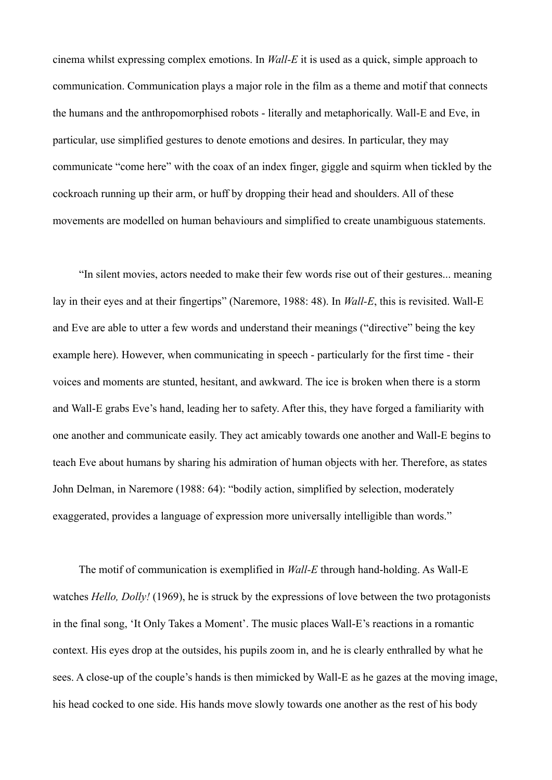cinema whilst expressing complex emotions. In *Wall-E* it is used as a quick, simple approach to communication. Communication plays a major role in the film as a theme and motif that connects the humans and the anthropomorphised robots - literally and metaphorically. Wall-E and Eve, in particular, use simplified gestures to denote emotions and desires. In particular, they may communicate "come here" with the coax of an index finger, giggle and squirm when tickled by the cockroach running up their arm, or huff by dropping their head and shoulders. All of these movements are modelled on human behaviours and simplified to create unambiguous statements.

 "In silent movies, actors needed to make their few words rise out of their gestures... meaning lay in their eyes and at their fingertips" (Naremore, 1988: 48). In *Wall-E*, this is revisited. Wall-E and Eve are able to utter a few words and understand their meanings ("directive" being the key example here). However, when communicating in speech - particularly for the first time - their voices and moments are stunted, hesitant, and awkward. The ice is broken when there is a storm and Wall-E grabs Eve's hand, leading her to safety. After this, they have forged a familiarity with one another and communicate easily. They act amicably towards one another and Wall-E begins to teach Eve about humans by sharing his admiration of human objects with her. Therefore, as states John Delman, in Naremore (1988: 64): "bodily action, simplified by selection, moderately exaggerated, provides a language of expression more universally intelligible than words."

 The motif of communication is exemplified in *Wall-E* through hand-holding. As Wall-E watches *Hello, Dolly!* (1969), he is struck by the expressions of love between the two protagonists in the final song, 'It Only Takes a Moment'. The music places Wall-E's reactions in a romantic context. His eyes drop at the outsides, his pupils zoom in, and he is clearly enthralled by what he sees. A close-up of the couple's hands is then mimicked by Wall-E as he gazes at the moving image, his head cocked to one side. His hands move slowly towards one another as the rest of his body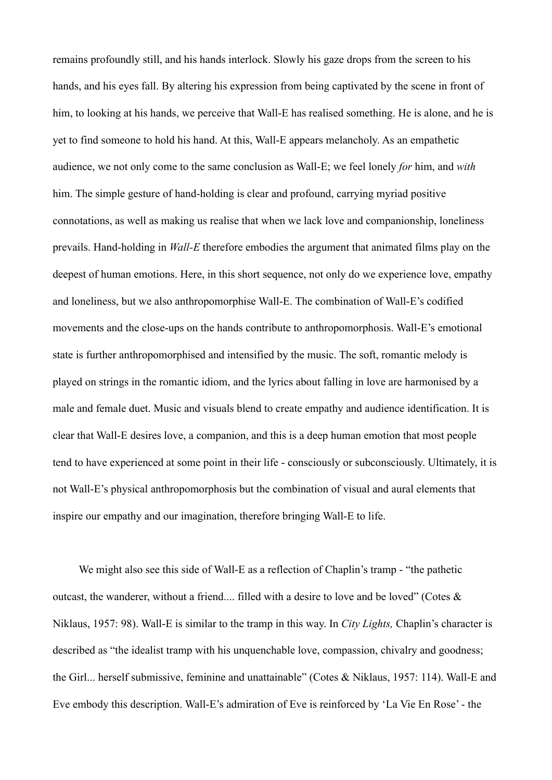remains profoundly still, and his hands interlock. Slowly his gaze drops from the screen to his hands, and his eyes fall. By altering his expression from being captivated by the scene in front of him, to looking at his hands, we perceive that Wall-E has realised something. He is alone, and he is yet to find someone to hold his hand. At this, Wall-E appears melancholy. As an empathetic audience, we not only come to the same conclusion as Wall-E; we feel lonely *for* him, and *with* him. The simple gesture of hand-holding is clear and profound, carrying myriad positive connotations, as well as making us realise that when we lack love and companionship, loneliness prevails. Hand-holding in *Wall-E* therefore embodies the argument that animated films play on the deepest of human emotions. Here, in this short sequence, not only do we experience love, empathy and loneliness, but we also anthropomorphise Wall-E. The combination of Wall-E's codified movements and the close-ups on the hands contribute to anthropomorphosis. Wall-E's emotional state is further anthropomorphised and intensified by the music. The soft, romantic melody is played on strings in the romantic idiom, and the lyrics about falling in love are harmonised by a male and female duet. Music and visuals blend to create empathy and audience identification. It is clear that Wall-E desires love, a companion, and this is a deep human emotion that most people tend to have experienced at some point in their life - consciously or subconsciously. Ultimately, it is not Wall-E's physical anthropomorphosis but the combination of visual and aural elements that inspire our empathy and our imagination, therefore bringing Wall-E to life.

We might also see this side of Wall-E as a reflection of Chaplin's tramp - "the pathetic outcast, the wanderer, without a friend.... filled with a desire to love and be loved" (Cotes & Niklaus, 1957: 98). Wall-E is similar to the tramp in this way. In *City Lights,* Chaplin's character is described as "the idealist tramp with his unquenchable love, compassion, chivalry and goodness; the Girl... herself submissive, feminine and unattainable" (Cotes & Niklaus, 1957: 114). Wall-E and Eve embody this description. Wall-E's admiration of Eve is reinforced by 'La Vie En Rose' - the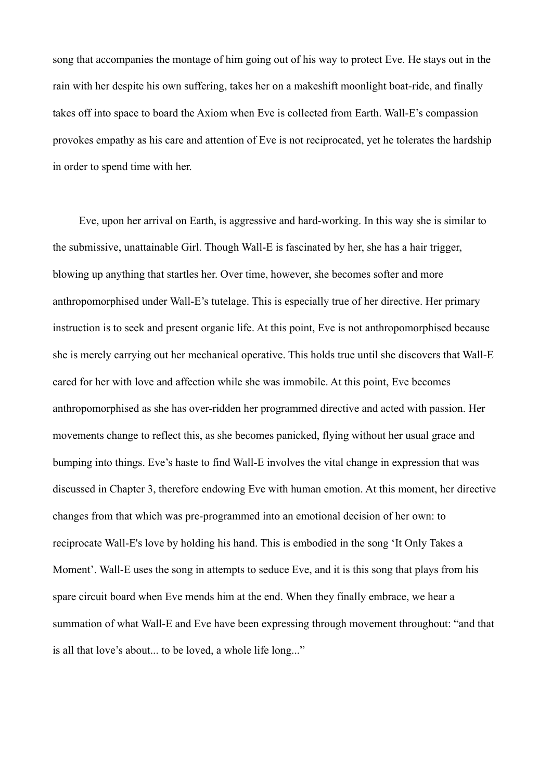song that accompanies the montage of him going out of his way to protect Eve. He stays out in the rain with her despite his own suffering, takes her on a makeshift moonlight boat-ride, and finally takes off into space to board the Axiom when Eve is collected from Earth. Wall-E's compassion provokes empathy as his care and attention of Eve is not reciprocated, yet he tolerates the hardship in order to spend time with her.

 Eve, upon her arrival on Earth, is aggressive and hard-working. In this way she is similar to the submissive, unattainable Girl. Though Wall-E is fascinated by her, she has a hair trigger, blowing up anything that startles her. Over time, however, she becomes softer and more anthropomorphised under Wall-E's tutelage. This is especially true of her directive. Her primary instruction is to seek and present organic life. At this point, Eve is not anthropomorphised because she is merely carrying out her mechanical operative. This holds true until she discovers that Wall-E cared for her with love and affection while she was immobile. At this point, Eve becomes anthropomorphised as she has over-ridden her programmed directive and acted with passion. Her movements change to reflect this, as she becomes panicked, flying without her usual grace and bumping into things. Eve's haste to find Wall-E involves the vital change in expression that was discussed in Chapter 3, therefore endowing Eve with human emotion. At this moment, her directive changes from that which was pre-programmed into an emotional decision of her own: to reciprocate Wall-E's love by holding his hand. This is embodied in the song 'It Only Takes a Moment'. Wall-E uses the song in attempts to seduce Eve, and it is this song that plays from his spare circuit board when Eve mends him at the end. When they finally embrace, we hear a summation of what Wall-E and Eve have been expressing through movement throughout: "and that is all that love's about... to be loved, a whole life long..."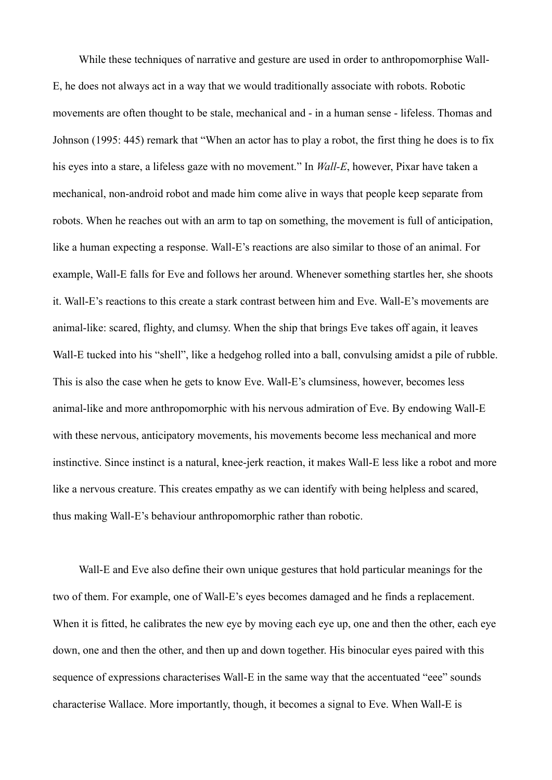While these techniques of narrative and gesture are used in order to anthropomorphise Wall-E, he does not always act in a way that we would traditionally associate with robots. Robotic movements are often thought to be stale, mechanical and - in a human sense - lifeless. Thomas and Johnson (1995: 445) remark that "When an actor has to play a robot, the first thing he does is to fix his eyes into a stare, a lifeless gaze with no movement." In *Wall-E*, however, Pixar have taken a mechanical, non-android robot and made him come alive in ways that people keep separate from robots. When he reaches out with an arm to tap on something, the movement is full of anticipation, like a human expecting a response. Wall-E's reactions are also similar to those of an animal. For example, Wall-E falls for Eve and follows her around. Whenever something startles her, she shoots it. Wall-E's reactions to this create a stark contrast between him and Eve. Wall-E's movements are animal-like: scared, flighty, and clumsy. When the ship that brings Eve takes off again, it leaves Wall-E tucked into his "shell", like a hedgehog rolled into a ball, convulsing amidst a pile of rubble. This is also the case when he gets to know Eve. Wall-E's clumsiness, however, becomes less animal-like and more anthropomorphic with his nervous admiration of Eve. By endowing Wall-E with these nervous, anticipatory movements, his movements become less mechanical and more instinctive. Since instinct is a natural, knee-jerk reaction, it makes Wall-E less like a robot and more like a nervous creature. This creates empathy as we can identify with being helpless and scared, thus making Wall-E's behaviour anthropomorphic rather than robotic.

 Wall-E and Eve also define their own unique gestures that hold particular meanings for the two of them. For example, one of Wall-E's eyes becomes damaged and he finds a replacement. When it is fitted, he calibrates the new eye by moving each eye up, one and then the other, each eye down, one and then the other, and then up and down together. His binocular eyes paired with this sequence of expressions characterises Wall-E in the same way that the accentuated "eee" sounds characterise Wallace. More importantly, though, it becomes a signal to Eve. When Wall-E is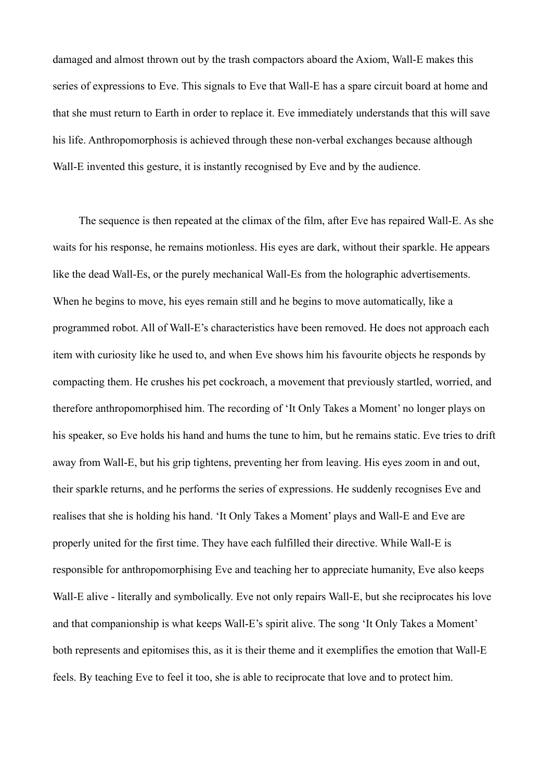damaged and almost thrown out by the trash compactors aboard the Axiom, Wall-E makes this series of expressions to Eve. This signals to Eve that Wall-E has a spare circuit board at home and that she must return to Earth in order to replace it. Eve immediately understands that this will save his life. Anthropomorphosis is achieved through these non-verbal exchanges because although Wall-E invented this gesture, it is instantly recognised by Eve and by the audience.

The sequence is then repeated at the climax of the film, after Eve has repaired Wall-E. As she waits for his response, he remains motionless. His eyes are dark, without their sparkle. He appears like the dead Wall-Es, or the purely mechanical Wall-Es from the holographic advertisements. When he begins to move, his eyes remain still and he begins to move automatically, like a programmed robot. All of Wall-E's characteristics have been removed. He does not approach each item with curiosity like he used to, and when Eve shows him his favourite objects he responds by compacting them. He crushes his pet cockroach, a movement that previously startled, worried, and therefore anthropomorphised him. The recording of 'It Only Takes a Moment' no longer plays on his speaker, so Eve holds his hand and hums the tune to him, but he remains static. Eve tries to drift away from Wall-E, but his grip tightens, preventing her from leaving. His eyes zoom in and out, their sparkle returns, and he performs the series of expressions. He suddenly recognises Eve and realises that she is holding his hand. 'It Only Takes a Moment' plays and Wall-E and Eve are properly united for the first time. They have each fulfilled their directive. While Wall-E is responsible for anthropomorphising Eve and teaching her to appreciate humanity, Eve also keeps Wall-E alive - literally and symbolically. Eve not only repairs Wall-E, but she reciprocates his love and that companionship is what keeps Wall-E's spirit alive. The song 'It Only Takes a Moment' both represents and epitomises this, as it is their theme and it exemplifies the emotion that Wall-E feels. By teaching Eve to feel it too, she is able to reciprocate that love and to protect him.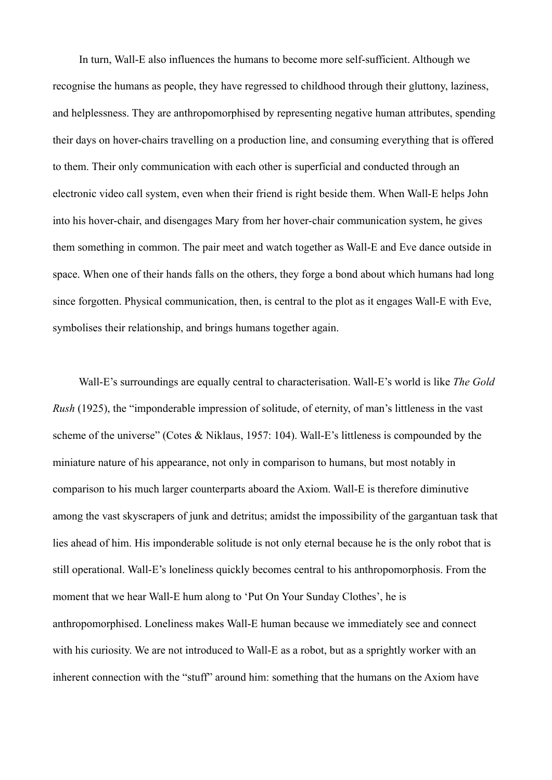In turn, Wall-E also influences the humans to become more self-sufficient. Although we recognise the humans as people, they have regressed to childhood through their gluttony, laziness, and helplessness. They are anthropomorphised by representing negative human attributes, spending their days on hover-chairs travelling on a production line, and consuming everything that is offered to them. Their only communication with each other is superficial and conducted through an electronic video call system, even when their friend is right beside them. When Wall-E helps John into his hover-chair, and disengages Mary from her hover-chair communication system, he gives them something in common. The pair meet and watch together as Wall-E and Eve dance outside in space. When one of their hands falls on the others, they forge a bond about which humans had long since forgotten. Physical communication, then, is central to the plot as it engages Wall-E with Eve, symbolises their relationship, and brings humans together again.

 Wall-E's surroundings are equally central to characterisation. Wall-E's world is like *The Gold Rush* (1925), the "imponderable impression of solitude, of eternity, of man's littleness in the vast scheme of the universe" (Cotes & Niklaus, 1957: 104). Wall-E's littleness is compounded by the miniature nature of his appearance, not only in comparison to humans, but most notably in comparison to his much larger counterparts aboard the Axiom. Wall-E is therefore diminutive among the vast skyscrapers of junk and detritus; amidst the impossibility of the gargantuan task that lies ahead of him. His imponderable solitude is not only eternal because he is the only robot that is still operational. Wall-E's loneliness quickly becomes central to his anthropomorphosis. From the moment that we hear Wall-E hum along to 'Put On Your Sunday Clothes', he is anthropomorphised. Loneliness makes Wall-E human because we immediately see and connect with his curiosity. We are not introduced to Wall-E as a robot, but as a sprightly worker with an inherent connection with the "stuff" around him: something that the humans on the Axiom have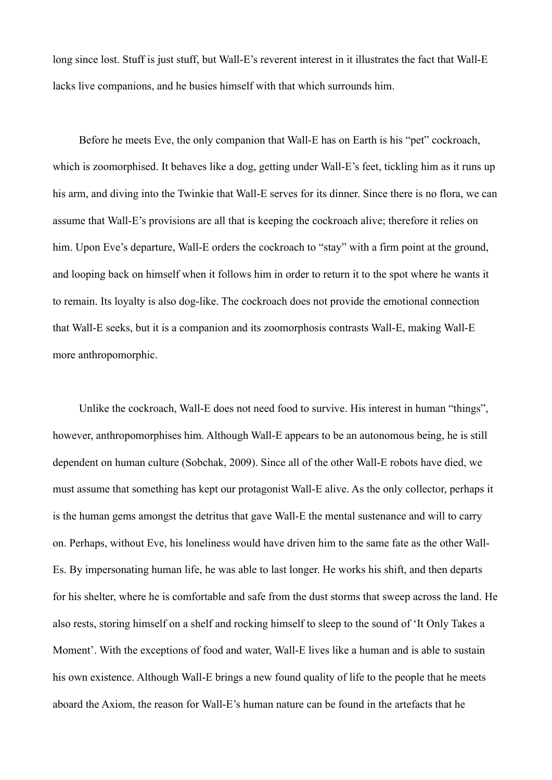long since lost. Stuff is just stuff, but Wall-E's reverent interest in it illustrates the fact that Wall-E lacks live companions, and he busies himself with that which surrounds him.

Before he meets Eve, the only companion that Wall-E has on Earth is his "pet" cockroach, which is zoomorphised. It behaves like a dog, getting under Wall-E's feet, tickling him as it runs up his arm, and diving into the Twinkie that Wall-E serves for its dinner. Since there is no flora, we can assume that Wall-E's provisions are all that is keeping the cockroach alive; therefore it relies on him. Upon Eve's departure, Wall-E orders the cockroach to "stay" with a firm point at the ground, and looping back on himself when it follows him in order to return it to the spot where he wants it to remain. Its loyalty is also dog-like. The cockroach does not provide the emotional connection that Wall-E seeks, but it is a companion and its zoomorphosis contrasts Wall-E, making Wall-E more anthropomorphic.

 Unlike the cockroach, Wall-E does not need food to survive. His interest in human "things", however, anthropomorphises him. Although Wall-E appears to be an autonomous being, he is still dependent on human culture (Sobchak, 2009). Since all of the other Wall-E robots have died, we must assume that something has kept our protagonist Wall-E alive. As the only collector, perhaps it is the human gems amongst the detritus that gave Wall-E the mental sustenance and will to carry on. Perhaps, without Eve, his loneliness would have driven him to the same fate as the other Wall-Es. By impersonating human life, he was able to last longer. He works his shift, and then departs for his shelter, where he is comfortable and safe from the dust storms that sweep across the land. He also rests, storing himself on a shelf and rocking himself to sleep to the sound of 'It Only Takes a Moment'. With the exceptions of food and water, Wall-E lives like a human and is able to sustain his own existence. Although Wall-E brings a new found quality of life to the people that he meets aboard the Axiom, the reason for Wall-E's human nature can be found in the artefacts that he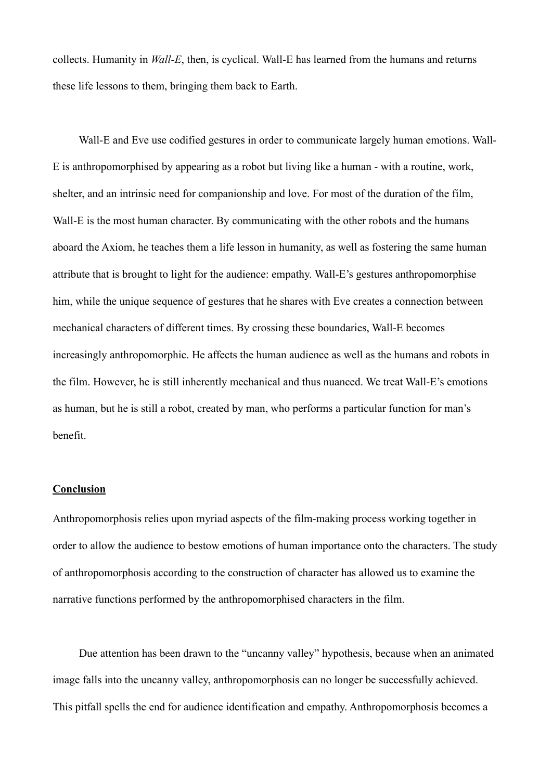collects. Humanity in *Wall-E*, then, is cyclical. Wall-E has learned from the humans and returns these life lessons to them, bringing them back to Earth.

 Wall-E and Eve use codified gestures in order to communicate largely human emotions. Wall-E is anthropomorphised by appearing as a robot but living like a human - with a routine, work, shelter, and an intrinsic need for companionship and love. For most of the duration of the film, Wall-E is the most human character. By communicating with the other robots and the humans aboard the Axiom, he teaches them a life lesson in humanity, as well as fostering the same human attribute that is brought to light for the audience: empathy. Wall-E's gestures anthropomorphise him, while the unique sequence of gestures that he shares with Eve creates a connection between mechanical characters of different times. By crossing these boundaries, Wall-E becomes increasingly anthropomorphic. He affects the human audience as well as the humans and robots in the film. However, he is still inherently mechanical and thus nuanced. We treat Wall-E's emotions as human, but he is still a robot, created by man, who performs a particular function for man's benefit.

#### **Conclusion**

Anthropomorphosis relies upon myriad aspects of the film-making process working together in order to allow the audience to bestow emotions of human importance onto the characters. The study of anthropomorphosis according to the construction of character has allowed us to examine the narrative functions performed by the anthropomorphised characters in the film.

 Due attention has been drawn to the "uncanny valley" hypothesis, because when an animated image falls into the uncanny valley, anthropomorphosis can no longer be successfully achieved. This pitfall spells the end for audience identification and empathy. Anthropomorphosis becomes a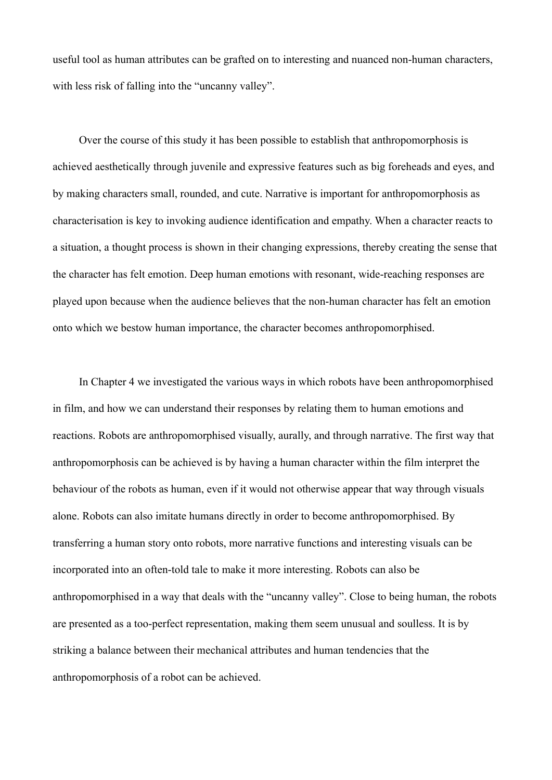useful tool as human attributes can be grafted on to interesting and nuanced non-human characters, with less risk of falling into the "uncanny valley".

 Over the course of this study it has been possible to establish that anthropomorphosis is achieved aesthetically through juvenile and expressive features such as big foreheads and eyes, and by making characters small, rounded, and cute. Narrative is important for anthropomorphosis as characterisation is key to invoking audience identification and empathy. When a character reacts to a situation, a thought process is shown in their changing expressions, thereby creating the sense that the character has felt emotion. Deep human emotions with resonant, wide-reaching responses are played upon because when the audience believes that the non-human character has felt an emotion onto which we bestow human importance, the character becomes anthropomorphised.

 In Chapter 4 we investigated the various ways in which robots have been anthropomorphised in film, and how we can understand their responses by relating them to human emotions and reactions. Robots are anthropomorphised visually, aurally, and through narrative. The first way that anthropomorphosis can be achieved is by having a human character within the film interpret the behaviour of the robots as human, even if it would not otherwise appear that way through visuals alone. Robots can also imitate humans directly in order to become anthropomorphised. By transferring a human story onto robots, more narrative functions and interesting visuals can be incorporated into an often-told tale to make it more interesting. Robots can also be anthropomorphised in a way that deals with the "uncanny valley". Close to being human, the robots are presented as a too-perfect representation, making them seem unusual and soulless. It is by striking a balance between their mechanical attributes and human tendencies that the anthropomorphosis of a robot can be achieved.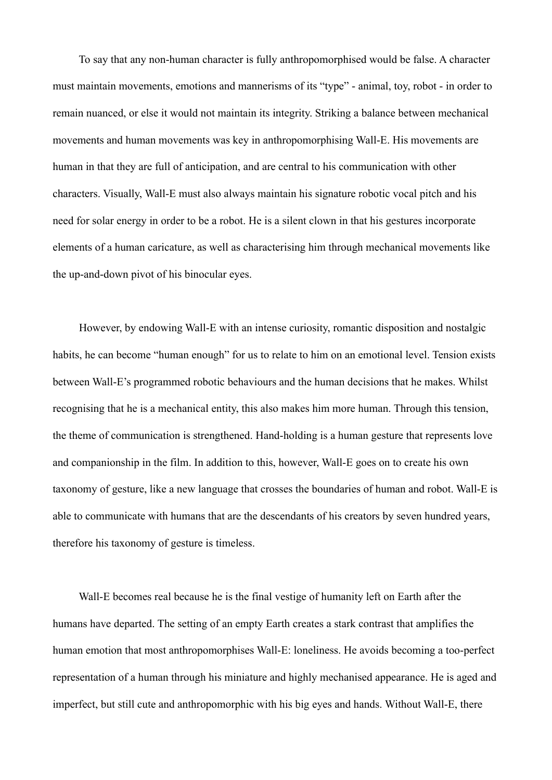To say that any non-human character is fully anthropomorphised would be false. A character must maintain movements, emotions and mannerisms of its "type" - animal, toy, robot - in order to remain nuanced, or else it would not maintain its integrity. Striking a balance between mechanical movements and human movements was key in anthropomorphising Wall-E. His movements are human in that they are full of anticipation, and are central to his communication with other characters. Visually, Wall-E must also always maintain his signature robotic vocal pitch and his need for solar energy in order to be a robot. He is a silent clown in that his gestures incorporate elements of a human caricature, as well as characterising him through mechanical movements like the up-and-down pivot of his binocular eyes.

 However, by endowing Wall-E with an intense curiosity, romantic disposition and nostalgic habits, he can become "human enough" for us to relate to him on an emotional level. Tension exists between Wall-E's programmed robotic behaviours and the human decisions that he makes. Whilst recognising that he is a mechanical entity, this also makes him more human. Through this tension, the theme of communication is strengthened. Hand-holding is a human gesture that represents love and companionship in the film. In addition to this, however, Wall-E goes on to create his own taxonomy of gesture, like a new language that crosses the boundaries of human and robot. Wall-E is able to communicate with humans that are the descendants of his creators by seven hundred years, therefore his taxonomy of gesture is timeless.

 Wall-E becomes real because he is the final vestige of humanity left on Earth after the humans have departed. The setting of an empty Earth creates a stark contrast that amplifies the human emotion that most anthropomorphises Wall-E: loneliness. He avoids becoming a too-perfect representation of a human through his miniature and highly mechanised appearance. He is aged and imperfect, but still cute and anthropomorphic with his big eyes and hands. Without Wall-E, there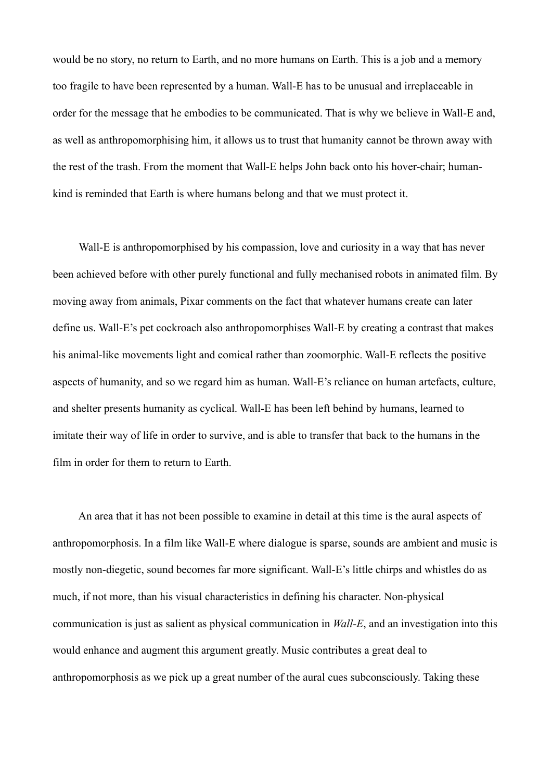would be no story, no return to Earth, and no more humans on Earth. This is a job and a memory too fragile to have been represented by a human. Wall-E has to be unusual and irreplaceable in order for the message that he embodies to be communicated. That is why we believe in Wall-E and, as well as anthropomorphising him, it allows us to trust that humanity cannot be thrown away with the rest of the trash. From the moment that Wall-E helps John back onto his hover-chair; humankind is reminded that Earth is where humans belong and that we must protect it.

 Wall-E is anthropomorphised by his compassion, love and curiosity in a way that has never been achieved before with other purely functional and fully mechanised robots in animated film. By moving away from animals, Pixar comments on the fact that whatever humans create can later define us. Wall-E's pet cockroach also anthropomorphises Wall-E by creating a contrast that makes his animal-like movements light and comical rather than zoomorphic. Wall-E reflects the positive aspects of humanity, and so we regard him as human. Wall-E's reliance on human artefacts, culture, and shelter presents humanity as cyclical. Wall-E has been left behind by humans, learned to imitate their way of life in order to survive, and is able to transfer that back to the humans in the film in order for them to return to Earth.

 An area that it has not been possible to examine in detail at this time is the aural aspects of anthropomorphosis. In a film like Wall-E where dialogue is sparse, sounds are ambient and music is mostly non-diegetic, sound becomes far more significant. Wall-E's little chirps and whistles do as much, if not more, than his visual characteristics in defining his character. Non-physical communication is just as salient as physical communication in *Wall-E*, and an investigation into this would enhance and augment this argument greatly. Music contributes a great deal to anthropomorphosis as we pick up a great number of the aural cues subconsciously. Taking these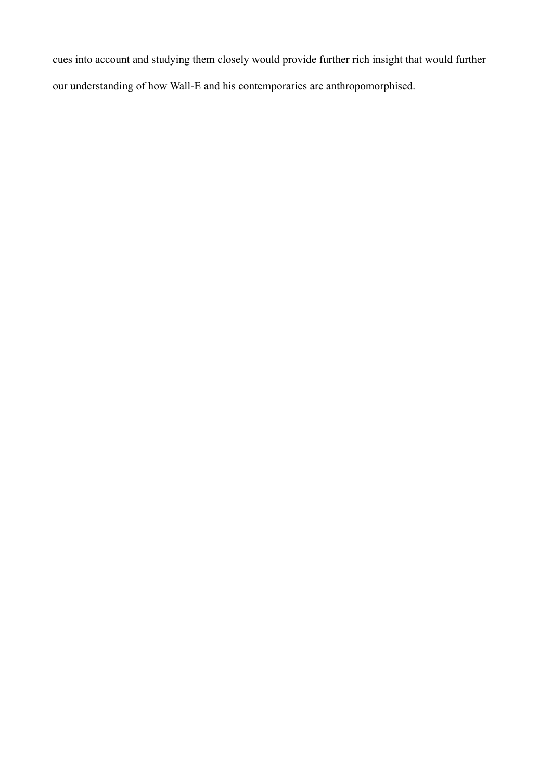cues into account and studying them closely would provide further rich insight that would further our understanding of how Wall-E and his contemporaries are anthropomorphised.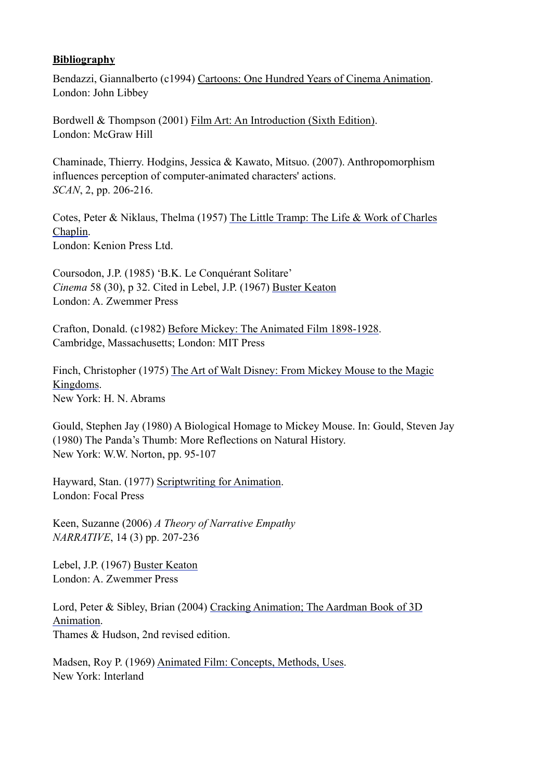# **Bibliography**

Bendazzi, Giannalberto (c1994) Cartoons: One Hundred Years of Cinema Animation. London: John Libbey

Bordwell & Thompson (2001) Film Art: An Introduction (Sixth Edition). London: McGraw Hill

Chaminade, Thierry. Hodgins, Jessica & Kawato, Mitsuo. (2007). Anthropomorphism influences perception of computer-animated characters' actions. *SCAN*, 2, pp. 206-216.

Cotes, Peter & Niklaus, Thelma (1957) The Little Tramp: The Life & Work of Charles Chaplin. London: Kenion Press Ltd.

Coursodon, J.P. (1985) 'B.K. Le Conquérant Solitare' *Cinema* 58 (30), p 32. Cited in Lebel, J.P. (1967) Buster Keaton London: A. Zwemmer Press

Crafton, Donald. (c1982) Before Mickey: The Animated Film 1898-1928. Cambridge, Massachusetts; London: MIT Press

Finch, Christopher (1975) The Art of Walt Disney: From Mickey Mouse to the Magic Kingdoms. New York: H. N. Abrams

Gould, Stephen Jay (1980) A Biological Homage to Mickey Mouse. In: Gould, Steven Jay (1980) The Panda's Thumb: More Reflections on Natural History. New York: W.W. Norton, pp. 95-107

Hayward, Stan. (1977) Scriptwriting for Animation. London: Focal Press

Keen, Suzanne (2006) *A Theory of Narrative Empathy NARRATIVE*, 14 (3) pp. 207-236

Lebel, J.P. (1967) Buster Keaton London: A. Zwemmer Press

Lord, Peter & Sibley, Brian (2004) Cracking Animation; The Aardman Book of 3D Animation. Thames & Hudson, 2nd revised edition.

Madsen, Roy P. (1969) Animated Film: Concepts, Methods, Uses. New York: Interland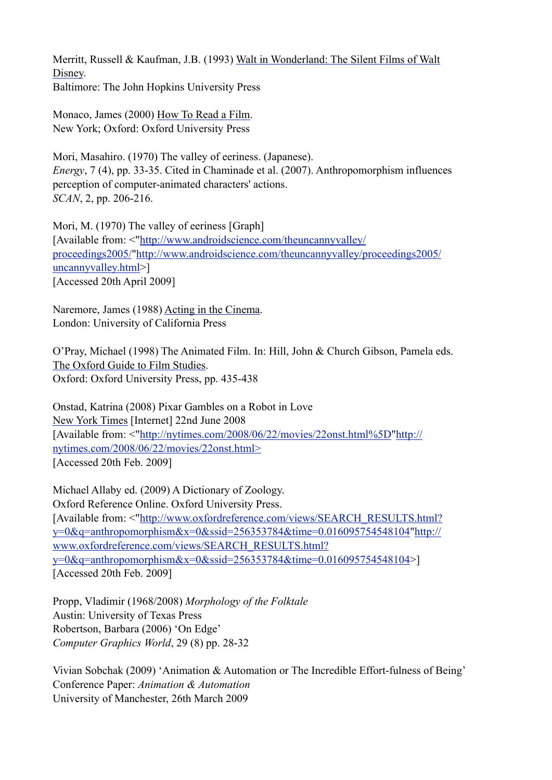Merritt, Russell & Kaufman, J.B. (1993) Walt in Wonderland: The Silent Films of Walt Disney. Baltimore: The John Hopkins University Press

Monaco, James (2000) How To Read a Film. New York; Oxford: Oxford University Press

Mori, Masahiro. (1970) The valley of eeriness. (Japanese). *Energy*, 7 (4), pp. 33-35. Cited in Chaminade et al. (2007). Anthropomorphism influences perception of computer-animated characters' actions. *SCAN*, 2, pp. 206-216.

Mori, M. (1970) The valley of eeriness [Graph] [Available from: <"[http://www.androidscience.com/theuncannyvalley/](http://www.androidscience.com/theuncannyvalley/proceedings2005/) [proceedings2005/](http://www.androidscience.com/theuncannyvalley/proceedings2005/)["http://www.androidscience.com/theuncannyvalley/proceedings2005/](http://www.androidscience.com/theuncannyvalley/proceedings2005/uncannyvalley.html) [uncannyvalley.html](http://www.androidscience.com/theuncannyvalley/proceedings2005/uncannyvalley.html)>] [Accessed 20th April 2009]

Naremore, James (1988) Acting in the Cinema. London: University of California Press

O'Pray, Michael (1998) The Animated Film. In: Hill, John & Church Gibson, Pamela eds. The Oxford Guide to Film Studies. Oxford: Oxford University Press, pp. 435-438

Onstad, Katrina (2008) Pixar Gambles on a Robot in Love New York Times [Internet] 22nd June 2008 [Available from: <"<http://nytimes.com/2008/06/22/movies/22onst.html%5D>["http://](http://nytimes.com/2008/06/22/movies/22onst.html) [nytimes.com/2008/06/22/movies/22onst.html>](http://nytimes.com/2008/06/22/movies/22onst.html) [Accessed 20th Feb. 2009]

Michael Allaby ed. (2009) A Dictionary of Zoology. Oxford Reference Online. Oxford University Press. [Available from: <"[http://www.oxfordreference.com/views/SEARCH\\_RESULTS.html?](http://www.oxfordreference.com/views/SEARCH_RESULTS.html?y=0&q=anthropomorphism&x=0&ssid=256353784&time=0.016095754548104) [y=0&q=anthropomorphism&x=0&ssid=256353784&time=0.016095754548104"http://](http://www.oxfordreference.com/views/SEARCH_RESULTS.html?y=0&q=anthropomorphism&x=0&ssid=256353784&time=0.016095754548104) [www.oxfordreference.com/views/SEARCH\\_RESULTS.html?](http://www.oxfordreference.com/views/SEARCH_RESULTS.html?y=0&q=anthropomorphism&x=0&ssid=256353784&time=0.016095754548104) [y=0&q=anthropomorphism&x=0&ssid=256353784&time=0.016095754548104](http://www.oxfordreference.com/views/SEARCH_RESULTS.html?y=0&q=anthropomorphism&x=0&ssid=256353784&time=0.016095754548104)>] [Accessed 20th Feb. 2009]

Propp, Vladimir (1968/2008) *Morphology of the Folktale* Austin: University of Texas Press Robertson, Barbara (2006) 'On Edge' *Computer Graphics World*, 29 (8) pp. 28-32

Vivian Sobchak (2009) 'Animation & Automation or The Incredible Effort-fulness of Being' Conference Paper: *Animation & Automation* University of Manchester, 26th March 2009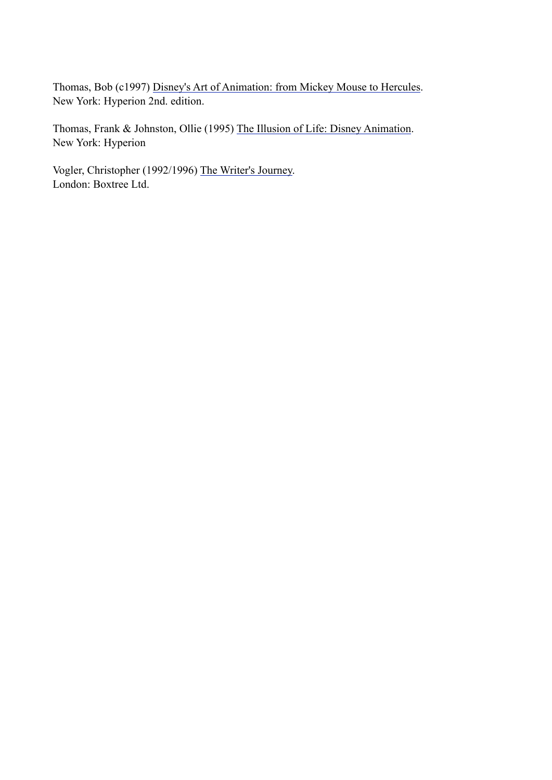Thomas, Bob (c1997) Disney's Art of Animation: from Mickey Mouse to Hercules. New York: Hyperion 2nd. edition.

Thomas, Frank & Johnston, Ollie (1995) The Illusion of Life: Disney Animation. New York: Hyperion

Vogler, Christopher (1992/1996) The Writer's Journey. London: Boxtree Ltd.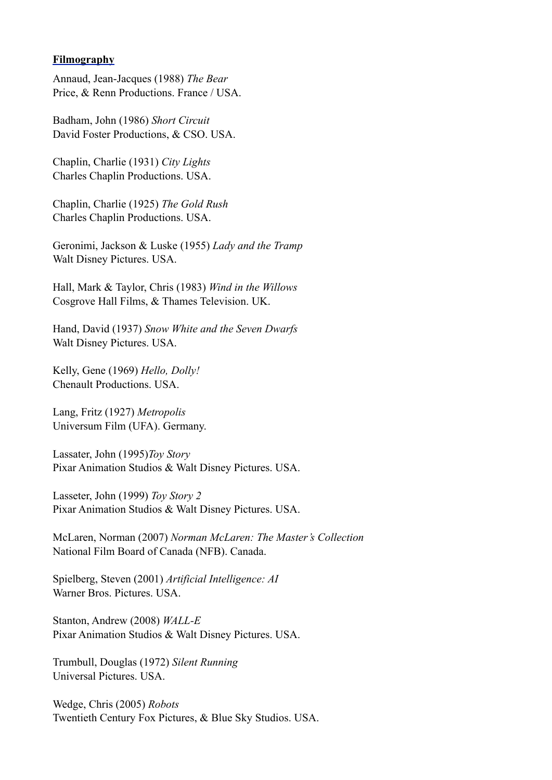## **Filmography**

Annaud, Jean-Jacques (1988) *The Bear* Price, & Renn Productions. France / USA.

Badham, John (1986) *Short Circuit* David Foster Productions, & CSO. USA.

Chaplin, Charlie (1931) *City Lights* Charles Chaplin Productions. USA.

Chaplin, Charlie (1925) *The Gold Rush* Charles Chaplin Productions. USA.

Geronimi, Jackson & Luske (1955) *Lady and the Tramp* Walt Disney Pictures. USA.

Hall, Mark & Taylor, Chris (1983) *Wind in the Willows* Cosgrove Hall Films, & Thames Television. UK.

Hand, David (1937) *Snow White and the Seven Dwarfs* Walt Disney Pictures. USA.

Kelly, Gene (1969) *Hello, Dolly!*  Chenault Productions. USA.

Lang, Fritz (1927) *Metropolis* Universum Film (UFA). Germany.

Lassater, John (1995)*Toy Story* Pixar Animation Studios & Walt Disney Pictures. USA.

Lasseter, John (1999) *Toy Story 2* Pixar Animation Studios & Walt Disney Pictures. USA.

McLaren, Norman (2007) *Norman McLaren: The Master's Collection* National Film Board of Canada (NFB). Canada.

Spielberg, Steven (2001) *Artificial Intelligence: AI* Warner Bros. Pictures. USA.

Stanton, Andrew (2008) *WALL-E* Pixar Animation Studios & Walt Disney Pictures. USA.

Trumbull, Douglas (1972) *Silent Running* Universal Pictures. USA.

Wedge, Chris (2005) *Robots* Twentieth Century Fox Pictures, & Blue Sky Studios. USA.